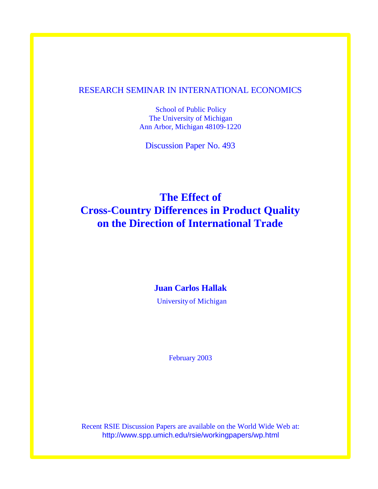# RESEARCH SEMINAR IN INTERNATIONAL ECONOMICS

School of Public Policy The University of Michigan Ann Arbor, Michigan 48109-1220

Discussion Paper No. 493

# **The Effect of Cross-Country Differences in Product Quality on the Direction of International Trade**

# **Juan Carlos Hallak**

University of Michigan

February 2003

Recent RSIE Discussion Papers are available on the World Wide Web at: http://www.spp.umich.edu/rsie/workingpapers/wp.html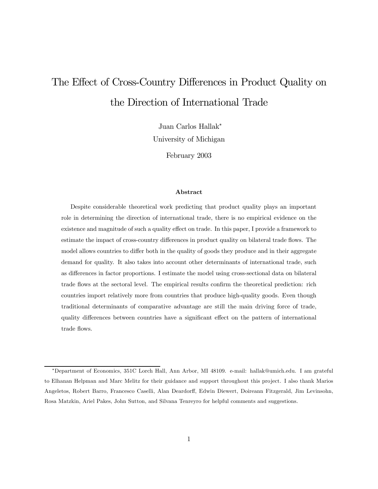# The Effect of Cross-Country Differences in Product Quality on the Direction of International Trade

Juan Carlos Hallak<sup>∗</sup>

University of Michigan

February 2003

#### Abstract

Despite considerable theoretical work predicting that product quality plays an important role in determining the direction of international trade, there is no empirical evidence on the existence and magnitude of such a quality effect on trade. In this paper, I provide a framework to estimate the impact of cross-country differences in product quality on bilateral trade flows. The model allows countries to differ both in the quality of goods they produce and in their aggregate demand for quality. It also takes into account other determinants of international trade, such as differences in factor proportions. I estimate the model using cross-sectional data on bilateral trade flows at the sectoral level. The empirical results confirm the theoretical prediction: rich countries import relatively more from countries that produce high-quality goods. Even though traditional determinants of comparative advantage are still the main driving force of trade, quality differences between countries have a significant effect on the pattern of international trade flows.

<sup>∗</sup>Department of Economics, 351C Lorch Hall, Ann Arbor, MI 48109. e-mail: hallak@umich.edu. I am grateful to Elhanan Helpman and Marc Melitz for their guidance and support throughout this project. I also thank Marios Angeletos, Robert Barro, Francesco Caselli, Alan Deardorff, Edwin Diewert, Doireann Fitzgerald, Jim Levinsohn, Rosa Matzkin, Ariel Pakes, John Sutton, and Silvana Tenreyro for helpful comments and suggestions.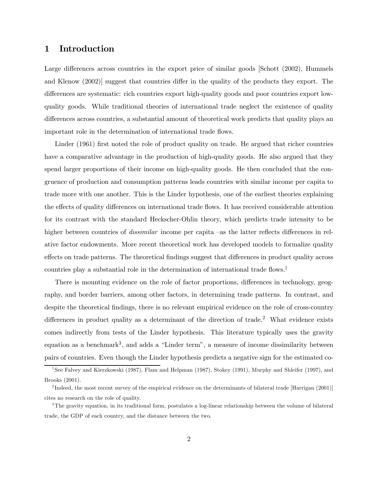# 1 Introduction

Large differences across countries in the export price of similar goods [Schott (2002), Hummels and Klenow (2002)] suggest that countries differ in the quality of the products they export. The differences are systematic: rich countries export high-quality goods and poor countries export lowquality goods. While traditional theories of international trade neglect the existence of quality differences across countries, a substantial amount of theoretical work predicts that quality plays an important role in the determination of international trade flows.

Linder (1961) first noted the role of product quality on trade. He argued that richer countries have a comparative advantage in the production of high-quality goods. He also argued that they spend larger proportions of their income on high-quality goods. He then concluded that the congruence of production and consumption patterns leads countries with similar income per capita to trade more with one another. This is the Linder hypothesis, one of the earliest theories explaining the effects of quality differences on international trade flows. It has received considerable attention for its contrast with the standard Heckscher-Ohlin theory, which predicts trade intensity to be higher between countries of *dissimilar* income per capita –as the latter reflects differences in relative factor endowments. More recent theoretical work has developed models to formalize quality effects on trade patterns. The theoretical findings suggest that differences in product quality across countries play a substantial role in the determination of international trade flows.<sup>1</sup>

There is mounting evidence on the role of factor proportions, differences in technology, geography, and border barriers, among other factors, in determining trade patterns. In contrast, and despite the theoretical findings, there is no relevant empirical evidence on the role of cross-country differences in product quality as a determinant of the direction of trade.<sup>2</sup> What evidence exists comes indirectly from tests of the Linder hypothesis. This literature typically uses the gravity equation as a benchmark<sup>3</sup>, and adds a "Linder term", a measure of income dissimilarity between pairs of countries. Even though the Linder hypothesis predicts a negative sign for the estimated co-

<sup>&</sup>lt;sup>1</sup>See Falvey and Kierzkowski (1987), Flam and Helpman (1987), Stokey (1991), Murphy and Shleifer (1997), and Brooks (2001).

<sup>&</sup>lt;sup>2</sup>Indeed, the most recent survey of the empirical evidence on the determinants of bilateral trade [Harrigan (2001)] cites no research on the role of quality.

<sup>&</sup>lt;sup>3</sup>The gravity equation, in its traditional form, postulates a log-linear relationship between the volume of bilateral trade, the GDP of each country, and the distance between the two.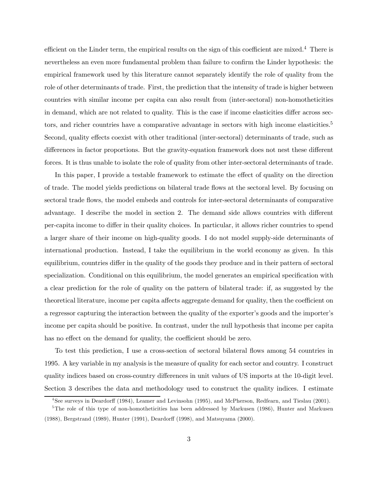efficient on the Linder term, the empirical results on the sign of this coefficient are mixed.<sup>4</sup> There is nevertheless an even more fundamental problem than failure to confirm the Linder hypothesis: the empirical framework used by this literature cannot separately identify the role of quality from the role of other determinants of trade. First, the prediction that the intensity of trade is higher between countries with similar income per capita can also result from (inter-sectoral) non-homotheticities in demand, which are not related to quality. This is the case if income elasticities differ across sectors, and richer countries have a comparative advantage in sectors with high income elasticities.<sup>5</sup> Second, quality effects coexist with other traditional (inter-sectoral) determinants of trade, such as differences in factor proportions. But the gravity-equation framework does not nest these different forces. It is thus unable to isolate the role of quality from other inter-sectoral determinants of trade.

In this paper, I provide a testable framework to estimate the effect of quality on the direction of trade. The model yields predictions on bilateral trade flows at the sectoral level. By focusing on sectoral trade flows, the model embeds and controls for inter-sectoral determinants of comparative advantage. I describe the model in section 2. The demand side allows countries with different per-capita income to differ in their quality choices. In particular, it allows richer countries to spend a larger share of their income on high-quality goods. I do not model supply-side determinants of international production. Instead, I take the equilibrium in the world economy as given. In this equilibrium, countries differ in the quality of the goods they produce and in their pattern of sectoral specialization. Conditional on this equilibrium, the model generates an empirical specification with a clear prediction for the role of quality on the pattern of bilateral trade: if, as suggested by the theoretical literature, income per capita affects aggregate demand for quality, then the coefficient on a regressor capturing the interaction between the quality of the exporter's goods and the importer's income per capita should be positive. In contrast, under the null hypothesis that income per capita has no effect on the demand for quality, the coefficient should be zero.

To test this prediction, I use a cross-section of sectoral bilateral flows among 54 countries in 1995. A key variable in my analysis is the measure of quality for each sector and country. I construct quality indices based on cross-country differences in unit values of US imports at the 10-digit level. Section 3 describes the data and methodology used to construct the quality indices. I estimate

<sup>&</sup>lt;sup>4</sup>See surveys in Deardorff (1984), Leamer and Levinsohn (1995), and McPherson, Redfearn, and Tieslau (2001).

<sup>&</sup>lt;sup>5</sup>The role of this type of non-homotheticities has been addressed by Markusen (1986), Hunter and Markusen (1988), Bergstrand (1989), Hunter (1991), Deardorff (1998), and Matsuyama (2000).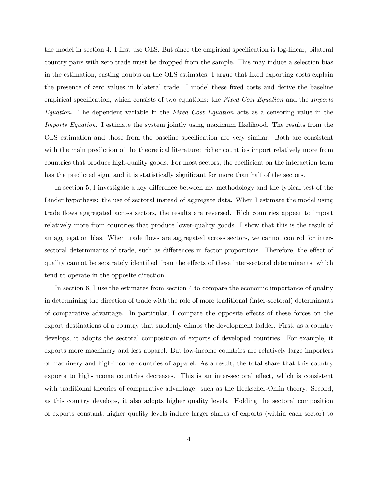the model in section 4. I first use OLS. But since the empirical specification is log-linear, bilateral country pairs with zero trade must be dropped from the sample. This may induce a selection bias in the estimation, casting doubts on the OLS estimates. I argue that fixed exporting costs explain the presence of zero values in bilateral trade. I model these fixed costs and derive the baseline empirical specification, which consists of two equations: the Fixed Cost Equation and the Imports Equation. The dependent variable in the Fixed Cost Equation acts as a censoring value in the Imports Equation. I estimate the system jointly using maximum likelihood. The results from the OLS estimation and those from the baseline specification are very similar. Both are consistent with the main prediction of the theoretical literature: richer countries import relatively more from countries that produce high-quality goods. For most sectors, the coefficient on the interaction term has the predicted sign, and it is statistically significant for more than half of the sectors.

In section 5, I investigate a key difference between my methodology and the typical test of the Linder hypothesis: the use of sectoral instead of aggregate data. When I estimate the model using trade flows aggregated across sectors, the results are reversed. Rich countries appear to import relatively more from countries that produce lower-quality goods. I show that this is the result of an aggregation bias. When trade flows are aggregated across sectors, we cannot control for intersectoral determinants of trade, such as differences in factor proportions. Therefore, the effect of quality cannot be separately identified from the effects of these inter-sectoral determinants, which tend to operate in the opposite direction.

In section 6, I use the estimates from section 4 to compare the economic importance of quality in determining the direction of trade with the role of more traditional (inter-sectoral) determinants of comparative advantage. In particular, I compare the opposite effects of these forces on the export destinations of a country that suddenly climbs the development ladder. First, as a country develops, it adopts the sectoral composition of exports of developed countries. For example, it exports more machinery and less apparel. But low-income countries are relatively large importers of machinery and high-income countries of apparel. As a result, the total share that this country exports to high-income countries decreases. This is an inter-sectoral effect, which is consistent with traditional theories of comparative advantage –such as the Heckscher-Ohlin theory. Second, as this country develops, it also adopts higher quality levels. Holding the sectoral composition of exports constant, higher quality levels induce larger shares of exports (within each sector) to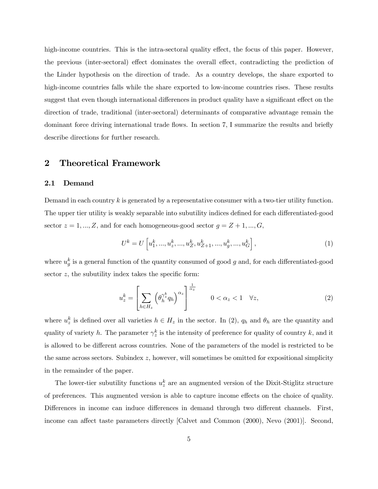high-income countries. This is the intra-sectoral quality effect, the focus of this paper. However, the previous (inter-sectoral) effect dominates the overall effect, contradicting the prediction of the Linder hypothesis on the direction of trade. As a country develops, the share exported to high-income countries falls while the share exported to low-income countries rises. These results suggest that even though international differences in product quality have a significant effect on the direction of trade, traditional (inter-sectoral) determinants of comparative advantage remain the dominant force driving international trade flows. In section 7, I summarize the results and briefly describe directions for further research.

# 2 Theoretical Framework

#### 2.1 Demand

Demand in each country k is generated by a representative consumer with a two-tier utility function. The upper tier utility is weakly separable into subutility indices defined for each differentiated-good sector  $z = 1, ..., Z$ , and for each homogeneous-good sector  $g = Z + 1, ..., G$ ,

$$
U^{k} = U\left[u_{1}^{k},...,u_{z}^{k},...,u_{Z}^{k},u_{Z+1}^{k},...,u_{g}^{k},...,u_{G}^{k}\right],
$$
\n
$$
(1)
$$

where  $u_g^k$  is a general function of the quantity consumed of good g and, for each differentiated-good sector  $z$ , the subutility index takes the specific form:

$$
u_z^k = \left[\sum_{h \in H_z} \left(\theta_h^{\gamma_z^k} q_h\right)^{\alpha_z}\right]^{\frac{1}{\alpha_z}} \qquad 0 < \alpha_z < 1 \quad \forall z,\tag{2}
$$

where  $u_z^k$  is defined over all varieties  $h \in H_z$  in the sector. In (2),  $q_h$  and  $\theta_h$  are the quantity and quality of variety h. The parameter  $\gamma_z^k$  is the intensity of preference for quality of country k, and it is allowed to be different across countries. None of the parameters of the model is restricted to be the same across sectors. Subindex z, however, will sometimes be omitted for expositional simplicity in the remainder of the paper.

The lower-tier subutility functions  $u_z^k$  are an augmented version of the Dixit-Stiglitz structure of preferences. This augmented version is able to capture income effects on the choice of quality. Differences in income can induce differences in demand through two different channels. First, income can affect taste parameters directly [Calvet and Common (2000), Nevo (2001)]. Second,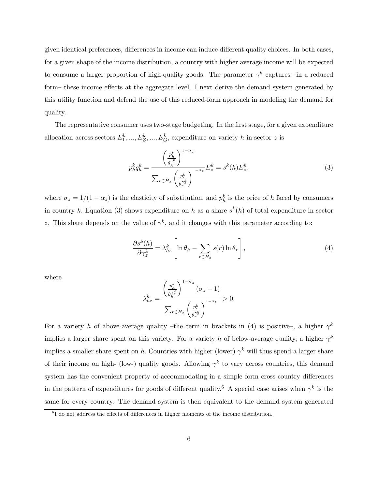given identical preferences, differences in income can induce different quality choices. In both cases, for a given shape of the income distribution, a country with higher average income will be expected to consume a larger proportion of high-quality goods. The parameter  $\gamma^k$  captures –in a reduced form— these income effects at the aggregate level. I next derive the demand system generated by this utility function and defend the use of this reduced-form approach in modeling the demand for quality.

The representative consumer uses two-stage budgeting. In the first stage, for a given expenditure allocation across sectors  $E_1^k, ..., E_Z^k, ..., E_G^k$ , expenditure on variety h in sector z is

$$
p_h^k q_h^k = \frac{\left(\frac{p_h^k}{\theta_h^{\gamma_z^k}}\right)^{1-\sigma_z}}{\sum_{r \in H_z} \left(\frac{p_r^k}{\theta_r^{\gamma_z^k}}\right)^{1-\sigma_z}} E_z^k = s^k(h) E_z^k,
$$
\n(3)

where  $\sigma_z = 1/(1 - \alpha_z)$  is the elasticity of substitution, and  $p_h^k$  is the price of h faced by consumers in country k. Equation (3) shows expenditure on h as a share  $s^k(h)$  of total expenditure in sector z. This share depends on the value of  $\gamma^k$ , and it changes with this parameter according to:

$$
\frac{\partial s^k(h)}{\partial \gamma_z^k} = \lambda_{hz}^k \left[ \ln \theta_h - \sum_{r \in H_z} s(r) \ln \theta_r \right],\tag{4}
$$

where

$$
\lambda_{hz}^k = \frac{\left(\frac{p_h^k}{\theta_h^{\gamma_z^k}}\right)^{1-\sigma_z} (\sigma_z - 1)}{\sum_{r \in H_z} \left(\frac{p_r^k}{\theta_r^{\gamma_z^k}}\right)^{1-\sigma_z}} > 0.
$$

For a variety h of above-average quality –the term in brackets in (4) is positive–, a higher  $\gamma^k$ implies a larger share spent on this variety. For a variety h of below-average quality, a higher  $\gamma^k$ implies a smaller share spent on h. Countries with higher (lower)  $\gamma^k$  will thus spend a larger share of their income on high- (low-) quality goods. Allowing  $\gamma^k$  to vary across countries, this demand system has the convenient property of accommodating in a simple form cross-country differences in the pattern of expenditures for goods of different quality.<sup>6</sup> A special case arises when  $\gamma^k$  is the same for every country. The demand system is then equivalent to the demand system generated

<sup>6</sup> I do not address the effects of differences in higher moments of the income distribution.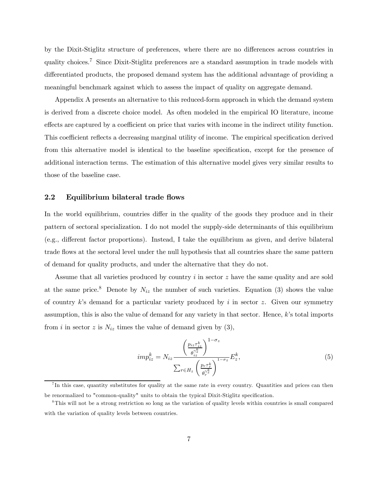by the Dixit-Stiglitz structure of preferences, where there are no differences across countries in quality choices.7 Since Dixit-Stiglitz preferences are a standard assumption in trade models with differentiated products, the proposed demand system has the additional advantage of providing a meaningful benchmark against which to assess the impact of quality on aggregate demand.

Appendix A presents an alternative to this reduced-form approach in which the demand system is derived from a discrete choice model. As often modeled in the empirical IO literature, income effects are captured by a coefficient on price that varies with income in the indirect utility function. This coefficient reflects a decreasing marginal utility of income. The empirical specification derived from this alternative model is identical to the baseline specification, except for the presence of additional interaction terms. The estimation of this alternative model gives very similar results to those of the baseline case.

#### 2.2 Equilibrium bilateral trade flows

In the world equilibrium, countries differ in the quality of the goods they produce and in their pattern of sectoral specialization. I do not model the supply-side determinants of this equilibrium (e.g., different factor proportions). Instead, I take the equilibrium as given, and derive bilateral trade flows at the sectoral level under the null hypothesis that all countries share the same pattern of demand for quality products, and under the alternative that they do not.

Assume that all varieties produced by country  $i$  in sector  $z$  have the same quality and are sold at the same price.<sup>8</sup> Denote by  $N_{iz}$  the number of such varieties. Equation (3) shows the value of country k's demand for a particular variety produced by i in sector z. Given our symmetry assumption, this is also the value of demand for any variety in that sector. Hence,  $k$ 's total imports from i in sector z is  $N_{iz}$  times the value of demand given by (3),

$$
imp_{iz}^k = N_{iz} \frac{\left(\frac{p_{iz}\tau_{iz}^k}{\theta_{iz}^{\gamma_z^k}}\right)^{1-\sigma_z}}{\sum_{r \in H_z} \left(\frac{p_r\tau_r^k}{\theta_{r}^{\gamma_z^k}}\right)^{1-\sigma_z}} E_z^k,
$$
\n
$$
(5)
$$

 ${}^{7}$ In this case, quantity substitutes for quality at the same rate in every country. Quantities and prices can then be renormalized to "common-quality" units to obtain the typical Dixit-Stiglitz specification.

<sup>&</sup>lt;sup>8</sup>This will not be a strong restriction so long as the variation of quality levels within countries is small compared with the variation of quality levels between countries.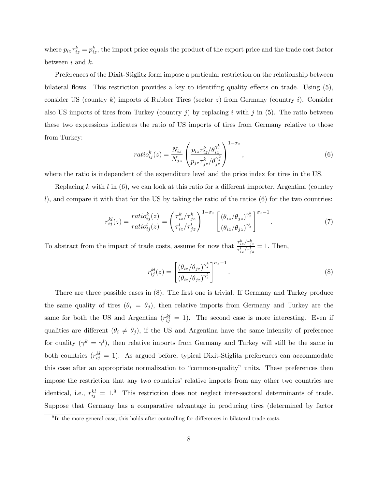where  $p_{iz}\tau_{iz}^k = p_{iz}^k$ , the import price equals the product of the export price and the trade cost factor between  $i$  and  $k$ .

Preferences of the Dixit-Stiglitz form impose a particular restriction on the relationship between bilateral flows. This restriction provides a key to identifing quality effects on trade. Using (5), consider US (country k) imports of Rubber Tires (sector  $z$ ) from Germany (country i). Consider also US imports of tires from Turkey (country j) by replacing i with j in  $(5)$ . The ratio between these two expressions indicates the ratio of US imports of tires from Germany relative to those from Turkey:

$$
ratio_{ij}^{k}(z) = \frac{N_{iz}}{N_{jz}} \left( \frac{p_{iz}\tau_{iz}^{k}/\theta_{iz}^{\gamma_{z}^{k}}}{p_{jz}\tau_{jz}^{k}/\theta_{jz}^{\gamma_{z}^{k}}} \right)^{1-\sigma_{z}},
$$
\n(6)

where the ratio is independent of the expenditure level and the price index for tires in the US.

Replacing k with  $l$  in (6), we can look at this ratio for a different importer, Argentina (country l), and compare it with that for the US by taking the ratio of the ratios  $(6)$  for the two countries:

$$
r_{ij}^{kl}(z) = \frac{ratio_{ij}^k(z)}{ratio_{ij}^l(z)} = \left(\frac{\tau_{iz}^k/\tau_{jz}^k}{\tau_{iz}^l/\tau_{jz}^l}\right)^{1-\sigma_z} \left[\frac{(\theta_{iz}/\theta_{jz})^{\gamma_z^k}}{(\theta_{iz}/\theta_{jz})^{\gamma_z^l}}\right]^{\sigma_z-1}.
$$
 (7)

To abstract from the impact of trade costs, assume for now that  $\frac{\tau_{iz}^k/\tau_{jz}^k}{\tau_{iz}^l/\tau_{jz}^l} = 1$ . Then,

$$
r_{ij}^{kl}(z) = \left[\frac{(\theta_{iz}/\theta_{jz})^{\gamma_z^{k}}}{(\theta_{iz}/\theta_{jz})^{\gamma_z^{l}}}\right]^{\sigma_z - 1}.
$$
\n(8)

There are three possible cases in (8). The first one is trivial. If Germany and Turkey produce the same quality of tires  $(\theta_i = \theta_j)$ , then relative imports from Germany and Turkey are the same for both the US and Argentina  $(r_{ij}^{kl} = 1)$ . The second case is more interesting. Even if qualities are different  $(\theta_i \neq \theta_j)$ , if the US and Argentina have the same intensity of preference for quality  $(\gamma^k = \gamma^l)$ , then relative imports from Germany and Turkey will still be the same in both countries  $(r_{ij}^{kl} = 1)$ . As argued before, typical Dixit-Stiglitz preferences can accommodate this case after an appropriate normalization to "common-quality" units. These preferences then impose the restriction that any two countries' relative imports from any other two countries are identical, i.e.,  $r_{ij}^{kl} = 1.9$  This restriction does not neglect inter-sectoral determinants of trade. Suppose that Germany has a comparative advantage in producing tires (determined by factor

 $9$ In the more general case, this holds after controlling for differences in bilateral trade costs.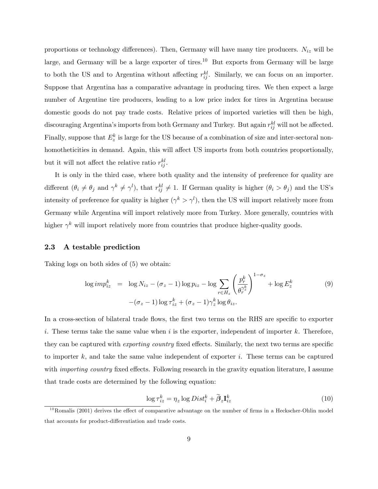proportions or technology differences). Then, Germany will have many tire producers.  $N_{iz}$  will be large, and Germany will be a large exporter of tires.<sup>10</sup> But exports from Germany will be large to both the US and to Argentina without affecting  $r_{ij}^{kl}$ . Similarly, we can focus on an importer. Suppose that Argentina has a comparative advantage in producing tires. We then expect a large number of Argentine tire producers, leading to a low price index for tires in Argentina because domestic goods do not pay trade costs. Relative prices of imported varieties will then be high, discouraging Argentina's imports from both Germany and Turkey. But again  $r_{ij}^{kl}$  will not be affected. Finally, suppose that  $E_z^k$  is large for the US because of a combination of size and inter-sectoral nonhomotheticities in demand. Again, this will affect US imports from both countries proportionally, but it will not affect the relative ratio  $r_{ij}^{kl}$ .

It is only in the third case, where both quality and the intensity of preference for quality are different  $(\theta_i \neq \theta_j \text{ and } \gamma^k \neq \gamma^l)$ , that  $r_{ij}^{kl} \neq 1$ . If German quality is higher  $(\theta_i > \theta_j)$  and the US's intensity of preference for quality is higher  $(\gamma^k > \gamma^l)$ , then the US will import relatively more from Germany while Argentina will import relatively more from Turkey. More generally, countries with higher  $\gamma^k$  will import relatively more from countries that produce higher-quality goods.

#### 2.3 A testable prediction

Taking logs on both sides of (5) we obtain:

$$
\log imp_{iz}^k = \log N_{iz} - (\sigma_z - 1) \log p_{iz} - \log \sum_{r \in H_z} \left(\frac{p_r^k}{\theta_r^{\gamma_z^k}}\right)^{1-\sigma_z} + \log E_z^k
$$
\n
$$
-(\sigma_z - 1) \log \tau_{iz}^k + (\sigma_z - 1) \gamma_z^k \log \theta_{iz}.
$$
\n(9)

In a cross-section of bilateral trade flows, the first two terms on the RHS are specific to exporter i. These terms take the same value when i is the exporter, independent of importer k. Therefore, they can be captured with exporting country fixed effects. Similarly, the next two terms are specific to importer  $k$ , and take the same value independent of exporter  $i$ . These terms can be captured with *importing country* fixed effects. Following research in the gravity equation literature, I assume that trade costs are determined by the following equation:

$$
\log \tau_{iz}^k = \eta_z \log Dist_i^k + \widetilde{\beta}_z \mathbf{I}_{iz}^k \tag{10}
$$

 $^{10}$ Romalis (2001) derives the effect of comparative advantage on the number of firms in a Heckscher-Ohlin model that accounts for product-differentiation and trade costs.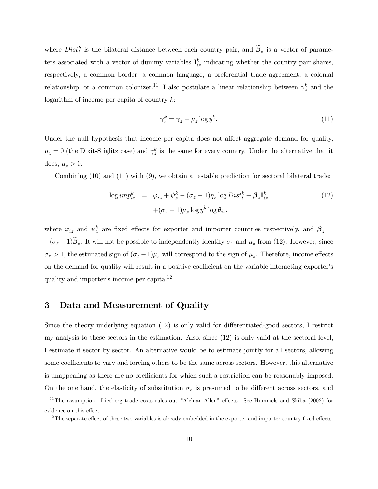where  $Dist_i^k$  is the bilateral distance between each country pair, and  $\tilde{\beta}_z$  is a vector of parameters associated with a vector of dummy variables  $\mathbf{I}_{iz}^k$  indicating whether the country pair shares, respectively, a common border, a common language, a preferential trade agreement, a colonial relationship, or a common colonizer.<sup>11</sup> I also postulate a linear relationship between  $\gamma_z^k$  and the logarithm of income per capita of country  $k$ :

$$
\gamma_z^k = \gamma_z + \mu_z \log y^k. \tag{11}
$$

Under the null hypothesis that income per capita does not affect aggregate demand for quality,  $\mu_z = 0$  (the Dixit-Stiglitz case) and  $\gamma_z^k$  is the same for every country. Under the alternative that it does,  $\mu_z > 0$ .

Combining (10) and (11) with (9), we obtain a testable prediction for sectoral bilateral trade:

$$
\log imp_{iz}^k = \varphi_{iz} + \psi_z^k - (\sigma_z - 1)\eta_z \log Dist_i^k + \beta_z \mathbf{I}_{iz}^k
$$
  
 
$$
+(\sigma_z - 1)\mu_z \log y^k \log \theta_{iz}, \qquad (12)
$$

where  $\varphi_{iz}$  and  $\psi_z^k$  are fixed effects for exporter and importer countries respectively, and  $\beta_z =$  $-(\sigma_z - 1)\beta_z$ . It will not be possible to independently identify  $\sigma_z$  and  $\mu_z$  from (12). However, since  $\sigma_z > 1$ , the estimated sign of  $(\sigma_z - 1)\mu_z$  will correspond to the sign of  $\mu_z$ . Therefore, income effects on the demand for quality will result in a positive coefficient on the variable interacting exporter's quality and importer's income per capita.12

# 3 Data and Measurement of Quality

Since the theory underlying equation (12) is only valid for differentiated-good sectors, I restrict my analysis to these sectors in the estimation. Also, since (12) is only valid at the sectoral level, I estimate it sector by sector. An alternative would be to estimate jointly for all sectors, allowing some coefficients to vary and forcing others to be the same across sectors. However, this alternative is unappealing as there are no coefficients for which such a restriction can be reasonably imposed. On the one hand, the elasticity of substitution  $\sigma_z$  is presumed to be different across sectors, and

<sup>&</sup>lt;sup>11</sup>The assumption of iceberg trade costs rules out "Alchian-Allen" effects. See Hummels and Skiba (2002) for evidence on this effect.

 $12$ The separate effect of these two variables is already embedded in the exporter and importer country fixed effects.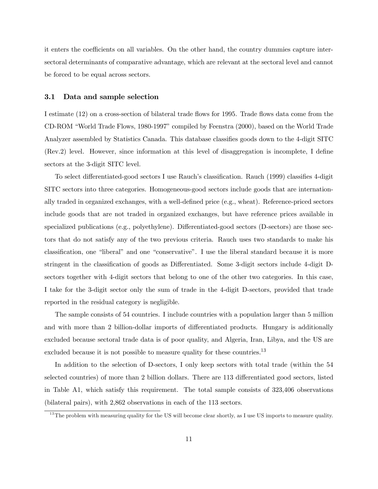it enters the coefficients on all variables. On the other hand, the country dummies capture intersectoral determinants of comparative advantage, which are relevant at the sectoral level and cannot be forced to be equal across sectors.

#### 3.1 Data and sample selection

I estimate (12) on a cross-section of bilateral trade flows for 1995. Trade flows data come from the CD-ROM "World Trade Flows, 1980-1997" compiled by Feenstra (2000), based on the World Trade Analyzer assembled by Statistics Canada. This database classifies goods down to the 4-digit SITC (Rev.2) level. However, since information at this level of disaggregation is incomplete, I define sectors at the 3-digit SITC level.

To select differentiated-good sectors I use Rauch's classification. Rauch (1999) classifies 4-digit SITC sectors into three categories. Homogeneous-good sectors include goods that are internationally traded in organized exchanges, with a well-defined price (e.g., wheat). Reference-priced sectors include goods that are not traded in organized exchanges, but have reference prices available in specialized publications (e.g., polyethylene). Differentiated-good sectors (D-sectors) are those sectors that do not satisfy any of the two previous criteria. Rauch uses two standards to make his classification, one "liberal" and one "conservative". I use the liberal standard because it is more stringent in the classification of goods as Differentiated. Some 3-digit sectors include 4-digit Dsectors together with 4-digit sectors that belong to one of the other two categories. In this case, I take for the 3-digit sector only the sum of trade in the 4-digit D-sectors, provided that trade reported in the residual category is negligible.

The sample consists of 54 countries. I include countries with a population larger than 5 million and with more than 2 billion-dollar imports of differentiated products. Hungary is additionally excluded because sectoral trade data is of poor quality, and Algeria, Iran, Libya, and the US are excluded because it is not possible to measure quality for these countries.<sup>13</sup>

In addition to the selection of D-sectors, I only keep sectors with total trade (within the 54 selected countries) of more than 2 billion dollars. There are 113 differentiated good sectors, listed in Table A1, which satisfy this requirement. The total sample consists of 323,406 observations (bilateral pairs), with 2,862 observations in each of the 113 sectors.

<sup>&</sup>lt;sup>13</sup>The problem with measuring quality for the US will become clear shortly, as I use US imports to measure quality.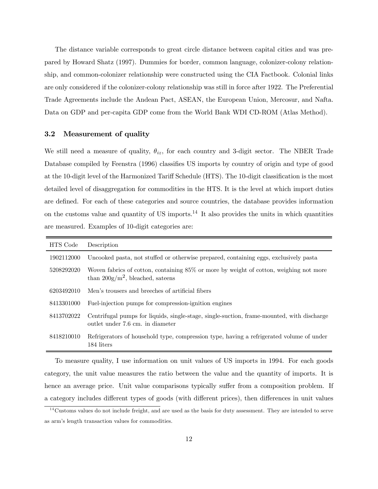The distance variable corresponds to great circle distance between capital cities and was prepared by Howard Shatz (1997). Dummies for border, common language, colonizer-colony relationship, and common-colonizer relationship were constructed using the CIA Factbook. Colonial links are only considered if the colonizer-colony relationship was still in force after 1922. The Preferential Trade Agreements include the Andean Pact, ASEAN, the European Union, Mercosur, and Nafta. Data on GDP and per-capita GDP come from the World Bank WDI CD-ROM (Atlas Method).

#### 3.2 Measurement of quality

We still need a measure of quality,  $\theta_{iz}$ , for each country and 3-digit sector. The NBER Trade Database compiled by Feenstra (1996) classifies US imports by country of origin and type of good at the 10-digit level of the Harmonized Tariff Schedule (HTS). The 10-digit classification is the most detailed level of disaggregation for commodities in the HTS. It is the level at which import duties are defined. For each of these categories and source countries, the database provides information on the customs value and quantity of US imports.<sup>14</sup> It also provides the units in which quantities are measured. Examples of 10-digit categories are:

| HTS Code   | Description                                                                                                                    |
|------------|--------------------------------------------------------------------------------------------------------------------------------|
| 1902112000 | Uncooked pasta, not stuffed or otherwise prepared, containing eggs, exclusively pasta                                          |
| 5208292020 | Woven fabrics of cotton, containing 85% or more by weight of cotton, weighing not more<br>than $200g/m^2$ , bleached, satelns  |
| 6203492010 | Men's trousers and breeches of artificial fibers                                                                               |
| 8413301000 | Fuel-injection pumps for compression-ignition engines                                                                          |
| 8413702022 | Centrifugal pumps for liquids, single-stage, single-suction, frame-mounted, with discharge<br>outlet under 7.6 cm. in diameter |
| 8418210010 | Refrigerators of household type, compression type, having a refrigerated volume of under<br>184 liters                         |

To measure quality, I use information on unit values of US imports in 1994. For each goods category, the unit value measures the ratio between the value and the quantity of imports. It is hence an average price. Unit value comparisons typically suffer from a composition problem. If a category includes different types of goods (with different prices), then differences in unit values

 $14$ Customs values do not include freight, and are used as the basis for duty assessment. They are intended to serve as arm's length transaction values for commodities.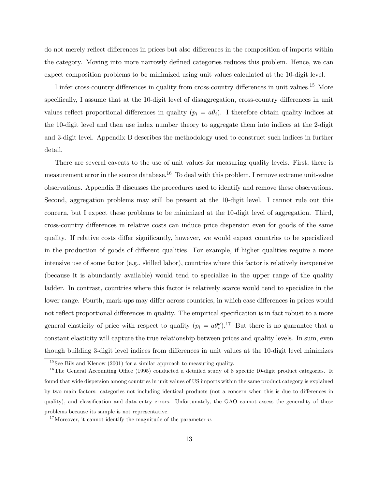do not merely reflect differences in prices but also differences in the composition of imports within the category. Moving into more narrowly defined categories reduces this problem. Hence, we can expect composition problems to be minimized using unit values calculated at the 10-digit level.

I infer cross-country differences in quality from cross-country differences in unit values.15 More specifically, I assume that at the 10-digit level of disaggregation, cross-country differences in unit values reflect proportional differences in quality  $(p_i = a\theta_i)$ . I therefore obtain quality indices at the 10-digit level and then use index number theory to aggregate them into indices at the 2-digit and 3-digit level. Appendix B describes the methodology used to construct such indices in further detail.

There are several caveats to the use of unit values for measuring quality levels. First, there is measurement error in the source database.<sup>16</sup> To deal with this problem, I remove extreme unit-value observations. Appendix B discusses the procedures used to identify and remove these observations. Second, aggregation problems may still be present at the 10-digit level. I cannot rule out this concern, but I expect these problems to be minimized at the 10-digit level of aggregation. Third, cross-country differences in relative costs can induce price dispersion even for goods of the same quality. If relative costs differ significantly, however, we would expect countries to be specialized in the production of goods of different qualities. For example, if higher qualities require a more intensive use of some factor (e.g., skilled labor), countries where this factor is relatively inexpensive (because it is abundantly available) would tend to specialize in the upper range of the quality ladder. In contrast, countries where this factor is relatively scarce would tend to specialize in the lower range. Fourth, mark-ups may differ across countries, in which case differences in prices would not reflect proportional differences in quality. The empirical specification is in fact robust to a more general elasticity of price with respect to quality  $(p_i = a\theta_i^{\nu})^{17}$ . But there is no guarantee that a constant elasticity will capture the true relationship between prices and quality levels. In sum, even though building 3-digit level indices from differences in unit values at the 10-digit level minimizes

 $15$  See Bils and Klenow (2001) for a similar approach to measuring quality.

<sup>&</sup>lt;sup>16</sup>The General Accounting Office (1995) conducted a detailed study of 8 specific 10-digit product categories. It found that wide dispersion among countries in unit values of US imports within the same product category is explained by two main factors: categories not including identical products (not a concern when this is due to differences in quality), and classification and data entry errors. Unfortunately, the GAO cannot assess the generality of these problems because its sample is not representative.

<sup>&</sup>lt;sup>17</sup>Moreover, it cannot identify the magnitude of the parameter  $v$ .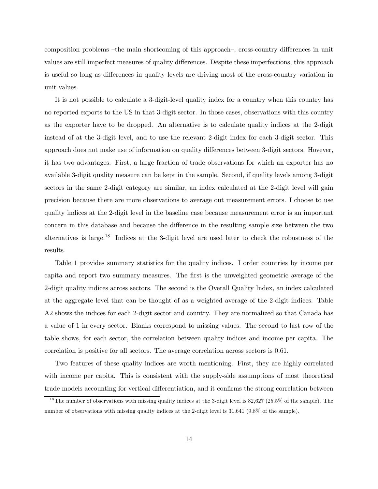composition problems —the main shortcoming of this approach—, cross-country differences in unit values are still imperfect measures of quality differences. Despite these imperfections, this approach is useful so long as differences in quality levels are driving most of the cross-country variation in unit values.

It is not possible to calculate a 3-digit-level quality index for a country when this country has no reported exports to the US in that 3-digit sector. In those cases, observations with this country as the exporter have to be dropped. An alternative is to calculate quality indices at the 2-digit instead of at the 3-digit level, and to use the relevant 2-digit index for each 3-digit sector. This approach does not make use of information on quality differences between 3-digit sectors. Hovever, it has two advantages. First, a large fraction of trade observations for which an exporter has no available 3-digit quality measure can be kept in the sample. Second, if quality levels among 3-digit sectors in the same 2-digit category are similar, an index calculated at the 2-digit level will gain precision because there are more observations to average out measurement errors. I choose to use quality indices at the 2-digit level in the baseline case because measurement error is an important concern in this database and because the difference in the resulting sample size between the two alternatives is large.<sup>18</sup> Indices at the 3-digit level are used later to check the robustness of the results.

Table 1 provides summary statistics for the quality indices. I order countries by income per capita and report two summary measures. The first is the unweighted geometric average of the 2-digit quality indices across sectors. The second is the Overall Quality Index, an index calculated at the aggregate level that can be thought of as a weighted average of the 2-digit indices. Table A2 shows the indices for each 2-digit sector and country. They are normalized so that Canada has a value of 1 in every sector. Blanks correspond to missing values. The second to last row of the table shows, for each sector, the correlation between quality indices and income per capita. The correlation is positive for all sectors. The average correlation across sectors is 0.61.

Two features of these quality indices are worth mentioning. First, they are highly correlated with income per capita. This is consistent with the supply-side assumptions of most theoretical trade models accounting for vertical differentiation, and it confirms the strong correlation between

<sup>&</sup>lt;sup>18</sup>The number of observations with missing quality indices at the 3-digit level is  $82,627$  (25.5% of the sample). The number of observations with missing quality indices at the 2-digit level is 31,641 (9.8% of the sample).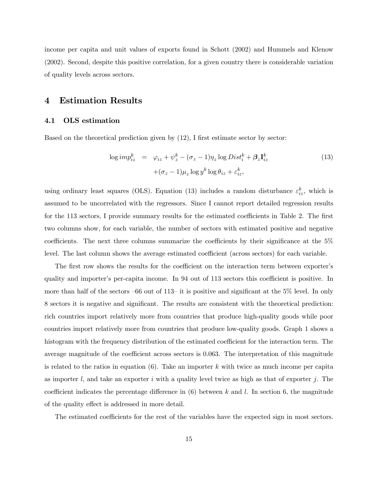income per capita and unit values of exports found in Schott (2002) and Hummels and Klenow (2002). Second, despite this positive correlation, for a given country there is considerable variation of quality levels across sectors.

### 4 Estimation Results

#### 4.1 OLS estimation

Based on the theoretical prediction given by (12), I first estimate sector by sector:

$$
\log imp_{iz}^k = \varphi_{iz} + \psi_z^k - (\sigma_z - 1)\eta_z \log Dist_i^k + \beta_z \mathbf{I}_{iz}^k
$$
  
 
$$
+(\sigma_z - 1)\mu_z \log y^k \log \theta_{iz} + \varepsilon_{iz}^k,
$$
 (13)

using ordinary least squares (OLS). Equation (13) includes a random disturbance  $\varepsilon_{iz}^k$ , which is assumed to be uncorrelated with the regressors. Since I cannot report detailed regression results for the 113 sectors, I provide summary results for the estimated coefficients in Table 2. The first two columns show, for each variable, the number of sectors with estimated positive and negative coefficients. The next three columns summarize the coefficients by their significance at the 5% level. The last column shows the average estimated coefficient (across sectors) for each variable.

The first row shows the results for the coefficient on the interaction term between exporter's quality and importer's per-capita income. In 94 out of 113 sectors this coefficient is positive. In more than half of the sectors —66 out of 113— it is positive and significant at the 5% level. In only 8 sectors it is negative and significant. The results are consistent with the theoretical prediction: rich countries import relatively more from countries that produce high-quality goods while poor countries import relatively more from countries that produce low-quality goods. Graph 1 shows a histogram with the frequency distribution of the estimated coefficient for the interaction term. The average magnitude of the coefficient across sectors is 0.063. The interpretation of this magnitude is related to the ratios in equation  $(6)$ . Take an importer k with twice as much income per capita as importer l, and take an exporter i with a quality level twice as high as that of exporter j. The coefficient indicates the percentage difference in  $(6)$  between k and l. In section 6, the magnitude of the quality effect is addressed in more detail.

The estimated coefficients for the rest of the variables have the expected sign in most sectors.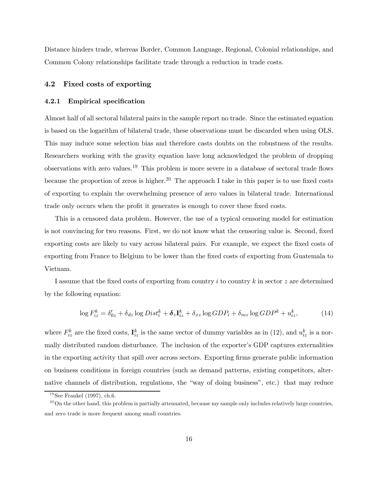Distance hinders trade, whereas Border, Common Language, Regional, Colonial relationships, and Common Colony relationships facilitate trade through a reduction in trade costs.

#### 4.2 Fixed costs of exporting

#### 4.2.1 Empirical specification

Almost half of all sectoral bilateral pairs in the sample report no trade. Since the estimated equation is based on the logarithm of bilateral trade, these observations must be discarded when using OLS. This may induce some selection bias and therefore casts doubts on the robustness of the results. Researchers working with the gravity equation have long acknowledged the problem of dropping observations with zero values.19 This problem is more severe in a database of sectoral trade flows because the proportion of zeros is higher.<sup>20</sup> The approach I take in this paper is to use fixed costs of exporting to explain the overwhelming presence of zero values in bilateral trade. International trade only occurs when the profit it generates is enough to cover these fixed costs.

This is a censored data problem. However, the use of a typical censoring model for estimation is not convincing for two reasons. First, we do not know what the censoring value is. Second, fixed exporting costs are likely to vary across bilateral pairs. For example, we expect the fixed costs of exporting from France to Belgium to be lower than the fixed costs of exporting from Guatemala to Vietnam.

I assume that the fixed costs of exporting from country  $i$  to country  $k$  in sector  $z$  are determined by the following equation:

$$
\log F_{iz}^k = \delta_{0z}' + \delta_{dz} \log Dist_i^k + \delta_z \mathbf{I}_{iz}^k + \delta_{xz} \log GDP_i + \delta_{mz} \log GDP^k + u_{iz}^k,\tag{14}
$$

where  $F_{iz}^k$  are the fixed costs,  $\mathbf{I}_{iz}^k$  is the same vector of dummy variables as in (12), and  $u_{iz}^k$  is a normally distributed random disturbance. The inclusion of the exporter's GDP captures externalities in the exporting activity that spill over across sectors. Exporting firms generate public information on business conditions in foreign countries (such as demand patterns, existing competitors, alternative channels of distribution, regulations, the "way of doing business", etc.) that may reduce

 $19$ See Frankel (1997), ch.6.

 $^{20}$ On the other hand, this problem is partially attenuated, because my sample only includes relatively large countries, and zero trade is more frequent among small countries.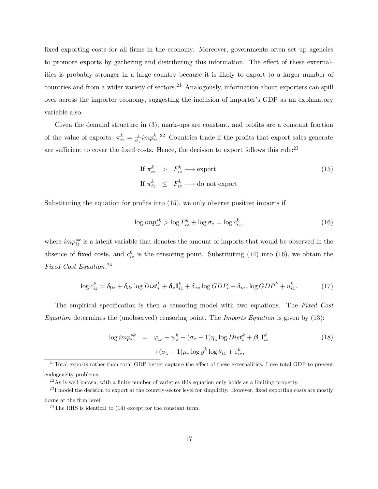fixed exporting costs for all firms in the economy. Moreover, governments often set up agencies to promote exports by gathering and distributing this information. The effect of these externalities is probably stronger in a large country because it is likely to export to a larger number of countries and from a wider variety of sectors.21 Analogously, information about exporters can spill over across the importer economy, suggesting the inclusion of importer's GDP as an explanatory variable also.

Given the demand structure in (3), mark-ups are constant, and profits are a constant fraction of the value of exports:  $\pi_{iz}^k = \frac{1}{\sigma_z} i m p_{iz}^k$ .<sup>22</sup> Countries trade if the profits that export sales generate are sufficient to cover the fixed costs. Hence, the decision to export follows this rule:<sup>23</sup>

If 
$$
\pi_{iz}^k > F_{iz}^k \longrightarrow \text{export}
$$
  
If  $\pi_{iz}^k \leq F_{iz}^k \longrightarrow \text{do not export}$  (15)

Substituting the equation for profits into (15), we only observe positive imports if

$$
\log imp_{iz}^{*k} > \log F_{iz}^k + \log \sigma_z = \log c_{iz}^k,\tag{16}
$$

where  $imp_{iz}^{*k}$  is a latent variable that denotes the amount of imports that would be observed in the absence of fixed costs, and  $c_{iz}^k$  is the censoring point. Substituting (14) into (16), we obtain the Fixed Cost Equation: 24

$$
\log c_{iz}^k = \delta_{0z} + \delta_{dz} \log Dist_i^k + \delta_z \mathbf{I}_{iz}^k + \delta_{xz} \log GDP_i + \delta_{mz} \log GDP^k + u_{iz}^k. \tag{17}
$$

The empirical specification is then a censoring model with two equations. The Fixed Cost Equation determines the (unobserved) censoring point. The Imports Equation is given by  $(13)$ :

$$
\log imp_{iz}^{*k} = \varphi_{iz} + \psi_z^k - (\sigma_z - 1)\eta_z \log Dist_i^k + \beta_z \mathbf{I}_{iz}^k
$$
  
 
$$
+ (\sigma_z - 1)\mu_z \log y^k \log \theta_{iz} + \varepsilon_{iz}^k,
$$
 (18)

 $^{21}$ Total exports rather than total GDP better capture the effect of these externalities. I use total GDP to prevent endogeneity problems.

 $^{22}$ As is well known, with a finite number of varieties this equation only holds as a limiting property.

 $^{23}$ I model the decision to export at the country-sector level for simplicity. However, fixed exporting costs are mostly borne at the firm level.

<sup>&</sup>lt;sup>24</sup>The RHS is identical to  $(14)$  except for the constant term.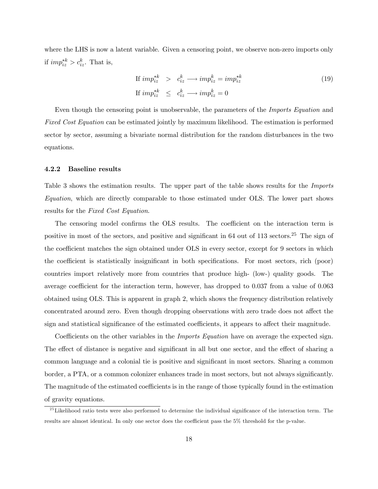where the LHS is now a latent variable. Given a censoring point, we observe non-zero imports only if  $imp_{iz}^{*k} > c_{iz}^k$ . That is,

If 
$$
imp_{iz}^{*k} > c_{iz}^{k} \longrightarrow imp_{iz}^{k} = imp_{iz}^{*k}
$$
  
If  $imp_{iz}^{*k} \le c_{iz}^{k} \longrightarrow imp_{iz}^{k} = 0$  (19)

Even though the censoring point is unobservable, the parameters of the Imports Equation and Fixed Cost Equation can be estimated jointly by maximum likelihood. The estimation is performed sector by sector, assuming a bivariate normal distribution for the random disturbances in the two equations.

#### 4.2.2 Baseline results

Table 3 shows the estimation results. The upper part of the table shows results for the *Imports* Equation, which are directly comparable to those estimated under OLS. The lower part shows results for the Fixed Cost Equation.

The censoring model confirms the OLS results. The coefficient on the interaction term is positive in most of the sectors, and positive and significant in 64 out of 113 sectors.25 The sign of the coefficient matches the sign obtained under OLS in every sector, except for 9 sectors in which the coefficient is statistically insignificant in both specifications. For most sectors, rich (poor) countries import relatively more from countries that produce high- (low-) quality goods. The average coefficient for the interaction term, however, has dropped to 0.037 from a value of 0.063 obtained using OLS. This is apparent in graph 2, which shows the frequency distribution relatively concentrated around zero. Even though dropping observations with zero trade does not affect the sign and statistical significance of the estimated coefficients, it appears to affect their magnitude.

Coefficients on the other variables in the *Imports Equation* have on average the expected sign. The effect of distance is negative and significant in all but one sector, and the effect of sharing a common language and a colonial tie is positive and significant in most sectors. Sharing a common border, a PTA, or a common colonizer enhances trade in most sectors, but not always significantly. The magnitude of the estimated coefficients is in the range of those typically found in the estimation of gravity equations.

 $^{25}$  Likelihood ratio tests were also performed to determine the individual significance of the interaction term. The results are almost identical. In only one sector does the coefficient pass the 5% threshold for the p-value.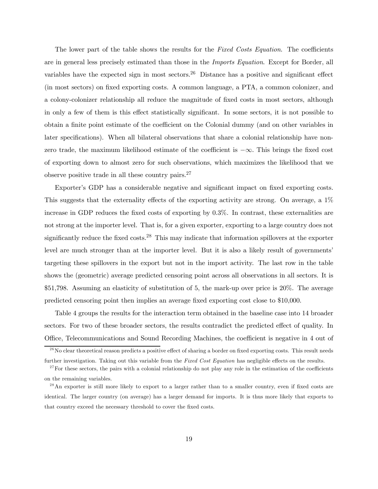The lower part of the table shows the results for the Fixed Costs Equation. The coefficients are in general less precisely estimated than those in the Imports Equation. Except for Border, all variables have the expected sign in most sectors.<sup>26</sup> Distance has a positive and significant effect (in most sectors) on fixed exporting costs. A common language, a PTA, a common colonizer, and a colony-colonizer relationship all reduce the magnitude of fixed costs in most sectors, although in only a few of them is this effect statistically significant. In some sectors, it is not possible to obtain a finite point estimate of the coefficient on the Colonial dummy (and on other variables in later specifications). When all bilateral observations that share a colonial relationship have nonzero trade, the maximum likelihood estimate of the coefficient is −∞. This brings the fixed cost of exporting down to almost zero for such observations, which maximizes the likelihood that we observe positive trade in all these country pairs.27

Exporter's GDP has a considerable negative and significant impact on fixed exporting costs. This suggests that the externality effects of the exporting activity are strong. On average, a 1% increase in GDP reduces the fixed costs of exporting by 0.3%. In contrast, these externalities are not strong at the importer level. That is, for a given exporter, exporting to a large country does not significantly reduce the fixed costs.<sup>28</sup> This may indicate that information spillovers at the exporter level are much stronger than at the importer level. But it is also a likely result of governments' targeting these spillovers in the export but not in the import activity. The last row in the table shows the (geometric) average predicted censoring point across all observations in all sectors. It is \$51,798. Assuming an elasticity of substitution of 5, the mark-up over price is 20%. The average predicted censoring point then implies an average fixed exporting cost close to \$10,000.

Table 4 groups the results for the interaction term obtained in the baseline case into 14 broader sectors. For two of these broader sectors, the results contradict the predicted effect of quality. In Office, Telecommunications and Sound Recording Machines, the coefficient is negative in 4 out of

 $^{26}$ No clear theoretical reason predicts a positive effect of sharing a border on fixed exporting costs. This result needs further investigation. Taking out this variable from the Fixed Cost Equation has negligible effects on the results.

 $27$  For these sectors, the pairs with a colonial relationship do not play any role in the estimation of the coefficients on the remaining variables.

 $^{28}$ An exporter is still more likely to export to a larger rather than to a smaller country, even if fixed costs are identical. The larger country (on average) has a larger demand for imports. It is thus more likely that exports to that country exceed the necessary threshold to cover the fixed costs.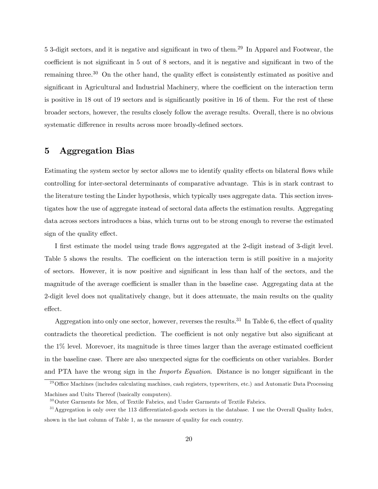5 3-digit sectors, and it is negative and significant in two of them.<sup>29</sup> In Apparel and Footwear, the coefficient is not significant in 5 out of 8 sectors, and it is negative and significant in two of the remaining three.<sup>30</sup> On the other hand, the quality effect is consistently estimated as positive and significant in Agricultural and Industrial Machinery, where the coefficient on the interaction term is positive in 18 out of 19 sectors and is significantly positive in 16 of them. For the rest of these broader sectors, however, the results closely follow the average results. Overall, there is no obvious systematic difference in results across more broadly-defined sectors.

# 5 Aggregation Bias

Estimating the system sector by sector allows me to identify quality effects on bilateral flows while controlling for inter-sectoral determinants of comparative advantage. This is in stark contrast to the literature testing the Linder hypothesis, which typically uses aggregate data. This section investigates how the use of aggregate instead of sectoral data affects the estimation results. Aggregating data across sectors introduces a bias, which turns out to be strong enough to reverse the estimated sign of the quality effect.

I first estimate the model using trade flows aggregated at the 2-digit instead of 3-digit level. Table 5 shows the results. The coefficient on the interaction term is still positive in a majority of sectors. However, it is now positive and significant in less than half of the sectors, and the magnitude of the average coefficient is smaller than in the baseline case. Aggregating data at the 2-digit level does not qualitatively change, but it does attenuate, the main results on the quality effect.

Aggregation into only one sector, however, reverses the results.<sup>31</sup> In Table 6, the effect of quality contradicts the theoretical prediction. The coefficient is not only negative but also significant at the 1% level. Morevoer, its magnitude is three times larger than the average estimated coefficient in the baseline case. There are also unexpected signs for the coefficients on other variables. Border and PTA have the wrong sign in the *Imports Equation*. Distance is no longer significant in the

<sup>&</sup>lt;sup>29</sup> Office Machines (includes calculating machines, cash registers, typewriters, etc.) and Automatic Data Processing Machines and Units Thereof (basically computers).

 $30$ Outer Garments for Men, of Textile Fabrics, and Under Garments of Textile Fabrics.

 $31$ Aggregation is only over the 113 differentiated-goods sectors in the database. I use the Overall Quality Index, shown in the last column of Table 1, as the measure of quality for each country.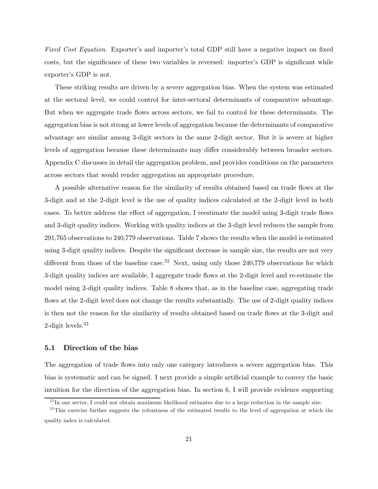Fixed Cost Equation. Exporter's and importer's total GDP still have a negative impact on fixed costs, but the significance of these two variables is reversed: importer's GDP is significant while exporter's GDP is not.

These striking results are driven by a severe aggregation bias. When the system was estimated at the sectoral level, we could control for inter-sectoral determinants of comparative advantage. But when we aggregate trade flows across sectors, we fail to control for these determinants. The aggregation bias is not strong at lower levels of aggregation because the determinants of comparative advantage are similar among 3-digit sectors in the same 2-digit sector. But it is severe at higher levels of aggregation because these determinants may differ considerably between broader sectors. Appendix C discusses in detail the aggregation problem, and provides conditions on the parameters across sectors that would render aggregation an appropriate procedure.

A possible alternative reason for the similarity of results obtained based on trade flows at the 3-digit and at the 2-digit level is the use of quality indices calculated at the 2-digit level in both cases. To better address the effect of aggregation, I reestimate the model using 3-digit trade flows and 3-digit quality indices. Working with quality indices at the 3-digit level reduces the sample from 291,765 observations to 240,779 observations. Table 7 shows the results when the model is estimated using 3-digit quality indices. Despite the significant decrease in sample size, the results are not very different from those of the baseline case.<sup>32</sup> Next, using only those 240,779 observations for which 3-digit quality indices are available, I aggregate trade flows at the 2-digit level and re-estimate the model using 2-digit quality indices. Table 8 shows that, as in the baseline case, aggregating trade flows at the 2-digit level does not change the results substantially. The use of 2-digit quality indices is then not the reason for the similarity of results obtained based on trade flows at the 3-digit and 2-digit levels.33

#### 5.1 Direction of the bias

The aggregation of trade flows into only one category introduces a severe aggregation bias. This bias is systematic and can be signed. I next provide a simple artificial example to convey the basic intuition for the direction of the aggregation bias. In section 6, I will provide evidence supporting

 $3<sup>2</sup>$  In one sector, I could not obtain maximum likelihood estimates due to a large reduction in the sample size.

<sup>&</sup>lt;sup>33</sup>This exercise further suggests the robustness of the estimated results to the level of aggregation at which the quality index is calculated.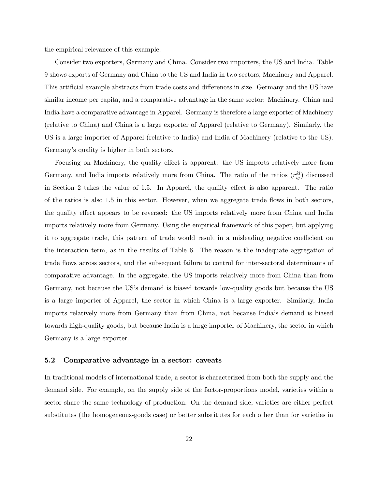the empirical relevance of this example.

Consider two exporters, Germany and China. Consider two importers, the US and India. Table 9 shows exports of Germany and China to the US and India in two sectors, Machinery and Apparel. This artificial example abstracts from trade costs and differences in size. Germany and the US have similar income per capita, and a comparative advantage in the same sector: Machinery. China and India have a comparative advantage in Apparel. Germany is therefore a large exporter of Machinery (relative to China) and China is a large exporter of Apparel (relative to Germany). Similarly, the US is a large importer of Apparel (relative to India) and India of Machinery (relative to the US). Germany's quality is higher in both sectors.

Focusing on Machinery, the quality effect is apparent: the US imports relatively more from Germany, and India imports relatively more from China. The ratio of the ratios  $(r_{ij}^{kl})$  discussed in Section 2 takes the value of 1.5. In Apparel, the quality effect is also apparent. The ratio of the ratios is also 1.5 in this sector. However, when we aggregate trade flows in both sectors, the quality effect appears to be reversed: the US imports relatively more from China and India imports relatively more from Germany. Using the empirical framework of this paper, but applying it to aggregate trade, this pattern of trade would result in a misleading negative coefficient on the interaction term, as in the results of Table 6. The reason is the inadequate aggregation of trade flows across sectors, and the subsequent failure to control for inter-sectoral determinants of comparative advantage. In the aggregate, the US imports relatively more from China than from Germany, not because the US's demand is biased towards low-quality goods but because the US is a large importer of Apparel, the sector in which China is a large exporter. Similarly, India imports relatively more from Germany than from China, not because India's demand is biased towards high-quality goods, but because India is a large importer of Machinery, the sector in which Germany is a large exporter.

#### 5.2 Comparative advantage in a sector: caveats

In traditional models of international trade, a sector is characterized from both the supply and the demand side. For example, on the supply side of the factor-proportions model, varieties within a sector share the same technology of production. On the demand side, varieties are either perfect substitutes (the homogeneous-goods case) or better substitutes for each other than for varieties in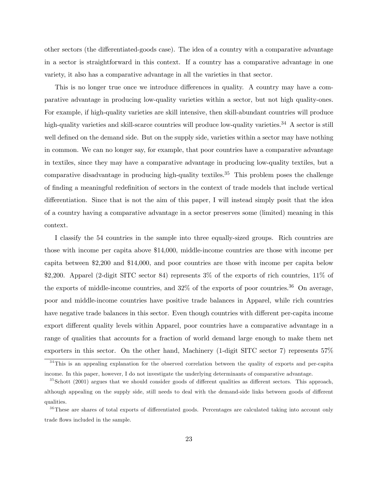other sectors (the differentiated-goods case). The idea of a country with a comparative advantage in a sector is straightforward in this context. If a country has a comparative advantage in one variety, it also has a comparative advantage in all the varieties in that sector.

This is no longer true once we introduce differences in quality. A country may have a comparative advantage in producing low-quality varieties within a sector, but not high quality-ones. For example, if high-quality varieties are skill intensive, then skill-abundant countries will produce high-quality varieties and skill-scarce countries will produce low-quality varieties.<sup>34</sup> A sector is still well defined on the demand side. But on the supply side, varieties within a sector may have nothing in common. We can no longer say, for example, that poor countries have a comparative advantage in textiles, since they may have a comparative advantage in producing low-quality textiles, but a comparative disadvantage in producing high-quality textiles.<sup>35</sup> This problem poses the challenge of finding a meaningful redefinition of sectors in the context of trade models that include vertical differentiation. Since that is not the aim of this paper, I will instead simply posit that the idea of a country having a comparative advantage in a sector preserves some (limited) meaning in this context.

I classify the 54 countries in the sample into three equally-sized groups. Rich countries are those with income per capita above \$14,000, middle-income countries are those with income per capita between \$2,200 and \$14,000, and poor countries are those with income per capita below \$2,200. Apparel (2-digit SITC sector 84) represents 3% of the exports of rich countries, 11% of the exports of middle-income countries, and  $32\%$  of the exports of poor countries.<sup>36</sup> On average, poor and middle-income countries have positive trade balances in Apparel, while rich countries have negative trade balances in this sector. Even though countries with different per-capita income export different quality levels within Apparel, poor countries have a comparative advantage in a range of qualities that accounts for a fraction of world demand large enough to make them net exporters in this sector. On the other hand, Machinery (1-digit SITC sector 7) represents 57%

<sup>&</sup>lt;sup>34</sup>This is an appealing explanation for the observed correlation between the quality of exports and per-capita income. In this paper, however, I do not investigate the underlying determinants of comparative advantage.

 $35$ Schott (2001) argues that we should consider goods of different qualities as different sectors. This approach, although appealing on the supply side, still needs to deal with the demand-side links between goods of different qualities.

<sup>&</sup>lt;sup>36</sup>These are shares of total exports of differentiated goods. Percentages are calculated taking into account only trade flows included in the sample.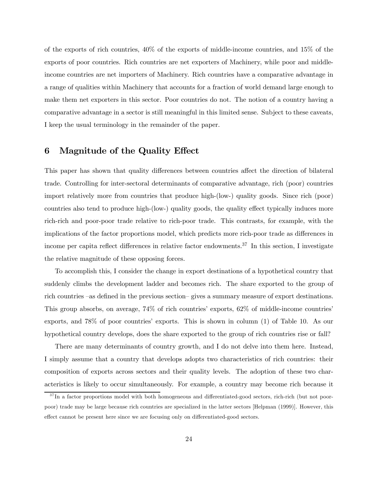of the exports of rich countries, 40% of the exports of middle-income countries, and 15% of the exports of poor countries. Rich countries are net exporters of Machinery, while poor and middleincome countries are net importers of Machinery. Rich countries have a comparative advantage in a range of qualities within Machinery that accounts for a fraction of world demand large enough to make them net exporters in this sector. Poor countries do not. The notion of a country having a comparative advantage in a sector is still meaningful in this limited sense. Subject to these caveats, I keep the usual terminology in the remainder of the paper.

# 6 Magnitude of the Quality Effect

This paper has shown that quality differences between countries affect the direction of bilateral trade. Controlling for inter-sectoral determinants of comparative advantage, rich (poor) countries import relatively more from countries that produce high-(low-) quality goods. Since rich (poor) countries also tend to produce high-(low-) quality goods, the quality effect typically induces more rich-rich and poor-poor trade relative to rich-poor trade. This contrasts, for example, with the implications of the factor proportions model, which predicts more rich-poor trade as differences in income per capita reflect differences in relative factor endowments.<sup>37</sup> In this section, I investigate the relative magnitude of these opposing forces.

To accomplish this, I consider the change in export destinations of a hypothetical country that suddenly climbs the development ladder and becomes rich. The share exported to the group of rich countries —as defined in the previous section— gives a summary measure of export destinations. This group absorbs, on average, 74% of rich countries' exports, 62% of middle-income countries' exports, and 78% of poor countries' exports. This is shown in column (1) of Table 10. As our hypothetical country develops, does the share exported to the group of rich countries rise or fall?

There are many determinants of country growth, and I do not delve into them here. Instead, I simply assume that a country that develops adopts two characteristics of rich countries: their composition of exports across sectors and their quality levels. The adoption of these two characteristics is likely to occur simultaneously. For example, a country may become rich because it

<sup>&</sup>lt;sup>37</sup>In a factor proportions model with both homogeneous and differentiated-good sectors, rich-rich (but not poorpoor) trade may be large because rich countries are specialized in the latter sectors [Helpman (1999)]. However, this effect cannot be present here since we are focusing only on differentiated-good sectors.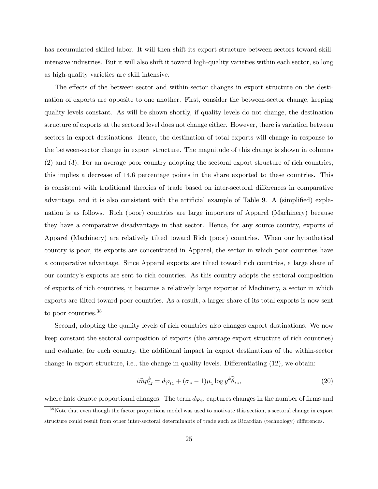has accumulated skilled labor. It will then shift its export structure between sectors toward skillintensive industries. But it will also shift it toward high-quality varieties within each sector, so long as high-quality varieties are skill intensive.

The effects of the between-sector and within-sector changes in export structure on the destination of exports are opposite to one another. First, consider the between-sector change, keeping quality levels constant. As will be shown shortly, if quality levels do not change, the destination structure of exports at the sectoral level does not change either. However, there is variation between sectors in export destinations. Hence, the destination of total exports will change in response to the between-sector change in export structure. The magnitude of this change is shown in columns (2) and (3). For an average poor country adopting the sectoral export structure of rich countries, this implies a decrease of 14.6 percentage points in the share exported to these countries. This is consistent with traditional theories of trade based on inter-sectoral differences in comparative advantage, and it is also consistent with the artificial example of Table 9. A (simplified) explanation is as follows. Rich (poor) countries are large importers of Apparel (Machinery) because they have a comparative disadvantage in that sector. Hence, for any source country, exports of Apparel (Machinery) are relatively tilted toward Rich (poor) countries. When our hypothetical country is poor, its exports are concentrated in Apparel, the sector in which poor countries have a comparative advantage. Since Apparel exports are tilted toward rich countries, a large share of our country's exports are sent to rich countries. As this country adopts the sectoral composition of exports of rich countries, it becomes a relatively large exporter of Machinery, a sector in which exports are tilted toward poor countries. As a result, a larger share of its total exports is now sent to poor countries.<sup>38</sup>

Second, adopting the quality levels of rich countries also changes export destinations. We now keep constant the sectoral composition of exports (the average export structure of rich countries) and evaluate, for each country, the additional impact in export destinations of the within-sector change in export structure, i.e., the change in quality levels. Differentiating (12), we obtain:

$$
i\hat{m}p_{iz}^k = d\varphi_{iz} + (\sigma_z - 1)\mu_z \log y^k \hat{\theta}_{iz},\tag{20}
$$

where hats denote proportional changes. The term  $d\varphi_{iz}$  captures changes in the number of firms and

<sup>&</sup>lt;sup>38</sup> Note that even though the factor proportions model was used to motivate this section, a sectoral change in export structure could result from other inter-sectoral determinants of trade such as Ricardian (technology) differences.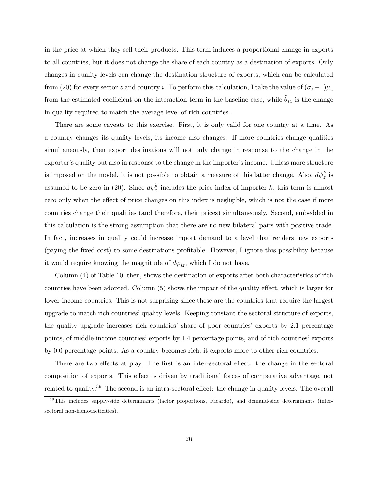in the price at which they sell their products. This term induces a proportional change in exports to all countries, but it does not change the share of each country as a destination of exports. Only changes in quality levels can change the destination structure of exports, which can be calculated from (20) for every sector z and country i. To perform this calculation, I take the value of  $(\sigma_z-1)\mu_z$ from the estimated coefficient on the interaction term in the baseline case, while  $\hat{\theta}_{iz}$  is the change in quality required to match the average level of rich countries.

There are some caveats to this exercise. First, it is only valid for one country at a time. As a country changes its quality levels, its income also changes. If more countries change qualities simultaneously, then export destinations will not only change in response to the change in the exporter's quality but also in response to the change in the importer's income. Unless more structure is imposed on the model, it is not possible to obtain a measure of this latter change. Also,  $d\psi_z^k$  is assumed to be zero in (20). Since  $d\psi_z^k$  includes the price index of importer k, this term is almost zero only when the effect of price changes on this index is negligible, which is not the case if more countries change their qualities (and therefore, their prices) simultaneously. Second, embedded in this calculation is the strong assumption that there are no new bilateral pairs with positive trade. In fact, increases in quality could increase import demand to a level that renders new exports (paying the fixed cost) to some destinations profitable. However, I ignore this possibility because it would require knowing the magnitude of  $d\varphi_{iz}$ , which I do not have.

Column (4) of Table 10, then, shows the destination of exports after both characteristics of rich countries have been adopted. Column (5) shows the impact of the quality effect, which is larger for lower income countries. This is not surprising since these are the countries that require the largest upgrade to match rich countries' quality levels. Keeping constant the sectoral structure of exports, the quality upgrade increases rich countries' share of poor countries' exports by 2.1 percentage points, of middle-income countries' exports by 1.4 percentage points, and of rich countries' exports by 0.0 percentage points. As a country becomes rich, it exports more to other rich countries.

There are two effects at play. The first is an inter-sectoral effect: the change in the sectoral composition of exports. This effect is driven by traditional forces of comparative advantage, not related to quality.39 The second is an intra-sectoral effect: the change in quality levels. The overall

 $39$ This includes supply-side determinants (factor proportions, Ricardo), and demand-side determinants (intersectoral non-homotheticities).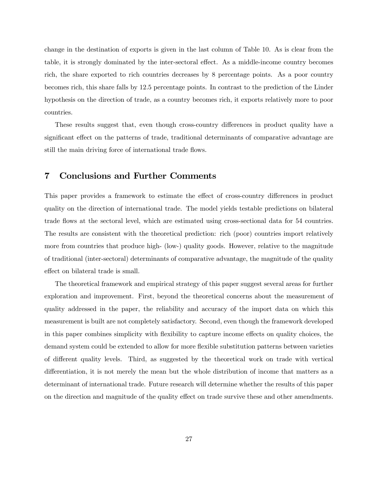change in the destination of exports is given in the last column of Table 10. As is clear from the table, it is strongly dominated by the inter-sectoral effect. As a middle-income country becomes rich, the share exported to rich countries decreases by 8 percentage points. As a poor country becomes rich, this share falls by 12.5 percentage points. In contrast to the prediction of the Linder hypothesis on the direction of trade, as a country becomes rich, it exports relatively more to poor countries.

These results suggest that, even though cross-country differences in product quality have a significant effect on the patterns of trade, traditional determinants of comparative advantage are still the main driving force of international trade flows.

# 7 Conclusions and Further Comments

This paper provides a framework to estimate the effect of cross-country differences in product quality on the direction of international trade. The model yields testable predictions on bilateral trade flows at the sectoral level, which are estimated using cross-sectional data for 54 countries. The results are consistent with the theoretical prediction: rich (poor) countries import relatively more from countries that produce high- (low-) quality goods. However, relative to the magnitude of traditional (inter-sectoral) determinants of comparative advantage, the magnitude of the quality effect on bilateral trade is small.

The theoretical framework and empirical strategy of this paper suggest several areas for further exploration and improvement. First, beyond the theoretical concerns about the measurement of quality addressed in the paper, the reliability and accuracy of the import data on which this measurement is built are not completely satisfactory. Second, even though the framework developed in this paper combines simplicity with flexibility to capture income effects on quality choices, the demand system could be extended to allow for more flexible substitution patterns between varieties of different quality levels. Third, as suggested by the theoretical work on trade with vertical differentiation, it is not merely the mean but the whole distribution of income that matters as a determinant of international trade. Future research will determine whether the results of this paper on the direction and magnitude of the quality effect on trade survive these and other amendments.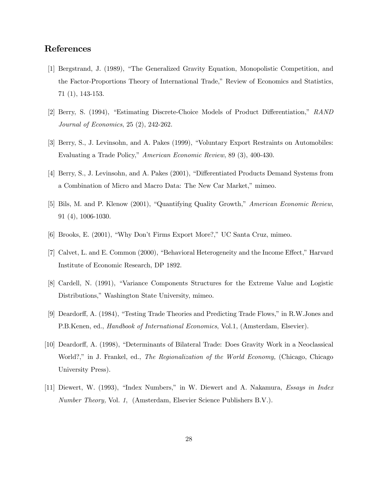# References

- [1] Bergstrand, J. (1989), "The Generalized Gravity Equation, Monopolistic Competition, and the Factor-Proportions Theory of International Trade," Review of Economics and Statistics, 71 (1), 143-153.
- [2] Berry, S. (1994), "Estimating Discrete-Choice Models of Product Differentiation," RAND Journal of Economics, 25 (2), 242-262.
- [3] Berry, S., J. Levinsohn, and A. Pakes (1999), "Voluntary Export Restraints on Automobiles: Evaluating a Trade Policy," American Economic Review, 89 (3), 400-430.
- [4] Berry, S., J. Levinsohn, and A. Pakes (2001), "Differentiated Products Demand Systems from a Combination of Micro and Macro Data: The New Car Market," mimeo.
- [5] Bils, M. and P. Klenow (2001), "Quantifying Quality Growth," American Economic Review, 91 (4), 1006-1030.
- [6] Brooks, E. (2001), "Why Don't Firms Export More?," UC Santa Cruz, mimeo.
- [7] Calvet, L. and E. Common (2000), "Behavioral Heterogeneity and the Income Effect," Harvard Institute of Economic Research, DP 1892.
- [8] Cardell, N. (1991), "Variance Components Structures for the Extreme Value and Logistic Distributions," Washington State University, mimeo.
- [9] Deardorff, A. (1984), "Testing Trade Theories and Predicting Trade Flows," in R.W.Jones and P.B.Kenen, ed., Handbook of International Economics, Vol.1, (Amsterdam, Elsevier).
- [10] Deardorff, A. (1998), "Determinants of Bilateral Trade: Does Gravity Work in a Neoclassical World?," in J. Frankel, ed., *The Regionalization of the World Economy*, (Chicago, Chicago University Press).
- [11] Diewert, W. (1993), "Index Numbers," in W. Diewert and A. Nakamura, Essays in Index Number Theory, Vol. 1, (Amsterdam, Elsevier Science Publishers B.V.).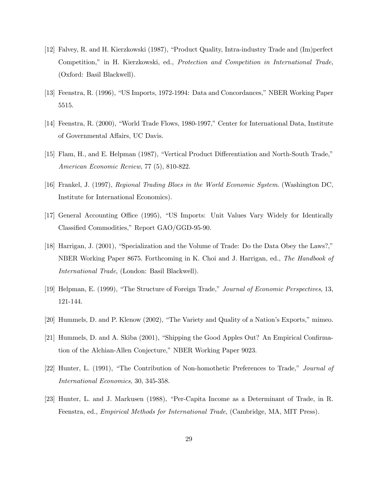- [12] Falvey, R. and H. Kierzkowski (1987), "Product Quality, Intra-industry Trade and (Im)perfect Competition," in H. Kierzkowski, ed., Protection and Competition in International Trade, (Oxford: Basil Blackwell).
- [13] Feenstra, R. (1996), "US Imports, 1972-1994: Data and Concordances," NBER Working Paper 5515.
- [14] Feenstra, R. (2000), "World Trade Flows, 1980-1997," Center for International Data, Institute of Governmental Affairs, UC Davis.
- [15] Flam, H., and E. Helpman (1987), "Vertical Product Differentiation and North-South Trade," American Economic Review, 77 (5), 810-822.
- [16] Frankel, J. (1997), Regional Trading Blocs in the World Economic System. (Washington DC, Institute for International Economics).
- [17] General Accounting Office (1995), "US Imports: Unit Values Vary Widely for Identically Classified Commodities," Report GAO/GGD-95-90.
- [18] Harrigan, J. (2001), "Specialization and the Volume of Trade: Do the Data Obey the Laws?," NBER Working Paper 8675. Forthcoming in K. Choi and J. Harrigan, ed., The Handbook of International Trade, (London: Basil Blackwell).
- [19] Helpman, E. (1999), "The Structure of Foreign Trade," Journal of Economic Perspectives, 13, 121-144.
- [20] Hummels, D. and P. Klenow (2002), "The Variety and Quality of a Nation's Exports," mimeo.
- [21] Hummels, D. and A. Skiba (2001), "Shipping the Good Apples Out? An Empirical Confirmation of the Alchian-Allen Conjecture," NBER Working Paper 9023.
- [22] Hunter, L. (1991), "The Contribution of Non-homothetic Preferences to Trade," Journal of International Economics, 30, 345-358.
- [23] Hunter, L. and J. Markusen (1988), "Per-Capita Income as a Determinant of Trade, in R. Feenstra, ed., Empirical Methods for International Trade, (Cambridge, MA, MIT Press).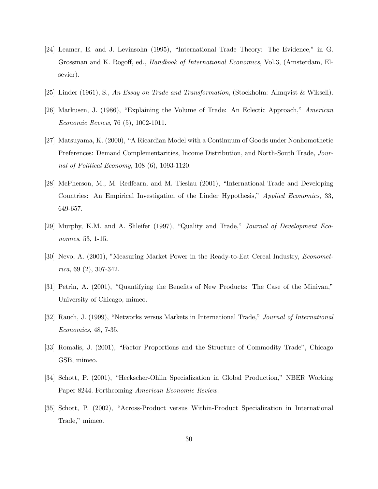- [24] Leamer, E. and J. Levinsohn (1995), "International Trade Theory: The Evidence," in G. Grossman and K. Rogoff, ed., Handbook of International Economics, Vol.3, (Amsterdam, Elsevier).
- [25] Linder (1961), S., An Essay on Trade and Transformation, (Stockholm: Almqvist & Wiksell).
- [26] Markusen, J. (1986), "Explaining the Volume of Trade: An Eclectic Approach," American Economic Review, 76 (5), 1002-1011.
- [27] Matsuyama, K. (2000), "A Ricardian Model with a Continuum of Goods under Nonhomothetic Preferences: Demand Complementarities, Income Distribution, and North-South Trade, Journal of Political Economy, 108 (6), 1093-1120.
- [28] McPherson, M., M. Redfearn, and M. Tieslau (2001), "International Trade and Developing Countries: An Empirical Investigation of the Linder Hypothesis," Applied Economics, 33, 649-657.
- [29] Murphy, K.M. and A. Shleifer (1997), "Quality and Trade," Journal of Development Economics, 53, 1-15.
- [30] Nevo, A. (2001), "Measuring Market Power in the Ready-to-Eat Cereal Industry, Econometrica, 69 (2), 307-342.
- [31] Petrin, A. (2001), "Quantifying the Benefits of New Products: The Case of the Minivan," University of Chicago, mimeo.
- [32] Rauch, J. (1999), "Networks versus Markets in International Trade," Journal of International Economics, 48, 7-35.
- [33] Romalis, J. (2001), "Factor Proportions and the Structure of Commodity Trade", Chicago GSB, mimeo.
- [34] Schott, P. (2001), "Heckscher-Ohlin Specialization in Global Production," NBER Working Paper 8244. Forthcoming American Economic Review.
- [35] Schott, P. (2002), "Across-Product versus Within-Product Specialization in International Trade," mimeo.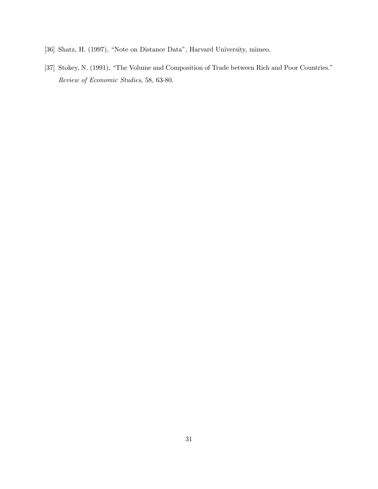- [36] Shatz, H. (1997), "Note on Distance Data", Harvard University, mimeo.
- [37] Stokey, N. (1991), "The Volume and Composition of Trade between Rich and Poor Countries." Review of Economic Studies, 58, 63-80.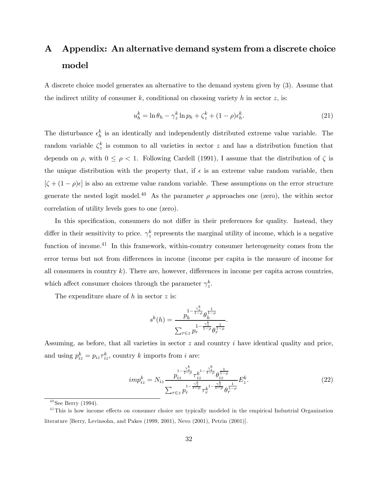# A Appendix: An alternative demand system from a discrete choice model

A discrete choice model generates an alternative to the demand system given by (3). Assume that the indirect utility of consumer  $k$ , conditional on choosing variety  $h$  in sector  $z$ , is:

$$
u_h^k = \ln \theta_h - \gamma_z^k \ln p_h + \zeta_z^k + (1 - \rho)\epsilon_h^k. \tag{21}
$$

The disturbance  $\epsilon_h^k$  is an identically and independently distributed extreme value variable. The random variable  $\zeta_z^k$  is common to all varieties in sector z and has a distribution function that depends on  $\rho$ , with  $0 \le \rho < 1$ . Following Cardell (1991), I assume that the distribution of  $\zeta$  is the unique distribution with the property that, if  $\epsilon$  is an extreme value random variable, then  $[\zeta + (1 - \rho)\epsilon]$  is also an extreme value random variable. These assumptions on the error structure generate the nested logit model.<sup>40</sup> As the parameter  $\rho$  approaches one (zero), the within sector correlation of utility levels goes to one (zero).

In this specification, consumers do not differ in their preferences for quality. Instead, they differ in their sensitivity to price.  $\gamma_z^k$  represents the marginal utility of income, which is a negative function of income.<sup>41</sup> In this framework, within-country consumer heterogeneity comes from the error terms but not from differences in income (income per capita is the measure of income for all consumers in country  $k$ ). There are, however, differences in income per capita across countries. which affect consumer choices through the parameter  $\gamma_z^k$ .

The expenditure share of  $h$  in sector  $z$  is:

$$
s^{k}(h) = \frac{p_h^{1-\frac{\gamma_z^k}{1-\rho}} \theta_h^{\frac{1}{1-\rho}}}{\sum_{r \in z} p_r^{1-\frac{\gamma_z^k}{1-\rho}} \theta_r^{\frac{1}{1-\rho}}}.
$$

Assuming, as before, that all varieties in sector  $z$  and country  $i$  have identical quality and price, and using  $p_{iz}^k = p_{iz}\tau_{iz}^k$ , country k imports from i are:

$$
imp_{iz}^{k} = N_{iz} \frac{p_{iz}^{1-\frac{\gamma_{z}^{k}}{1-\rho}} \tau_{iz}^{k^{1-\frac{\gamma_{z}^{k}}{1-\rho}} \theta_{iz}^{\frac{1}{1-\rho}}}{\sum_{r \in z} p_{r}^{1-\frac{\gamma_{z}^{k}}{1-\rho}} \tau_{r}^{k^{1-\frac{\gamma_{z}^{k}}{1-\rho}} \theta_{r}^{\frac{1}{1-\rho}}}} E_{z}^{k}.
$$
\n(22)

 $40$  See Berry (1994).

<sup>&</sup>lt;sup>41</sup>This is how income effects on consumer choice are typically modeled in the empirical Industrial Organization literature [Berry, Levinsohn, and Pakes (1999, 2001), Nevo (2001), Petrin (2001)].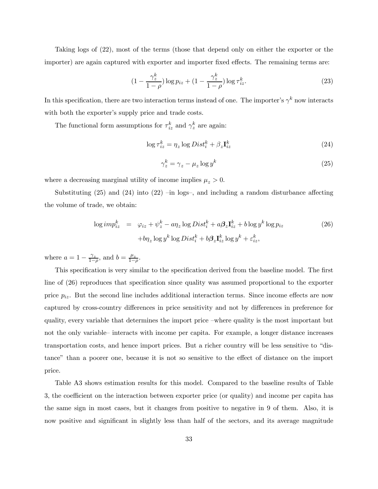Taking logs of (22), most of the terms (those that depend only on either the exporter or the importer) are again captured with exporter and importer fixed effects. The remaining terms are:

$$
(1 - \frac{\gamma_z^k}{1 - \rho}) \log p_{iz} + (1 - \frac{\gamma_z^k}{1 - \rho}) \log \tau_{iz}^k.
$$
\n
$$
(23)
$$

In this specification, there are two interaction terms instead of one. The importer's  $\gamma^k$  now interacts with both the exporter's supply price and trade costs.

The functional form assumptions for  $\tau_{iz}^k$  and  $\gamma_z^k$  are again:

$$
\log \tau_{iz}^k = \eta_z \log Dist_i^k + \beta_z \mathbf{I}_{iz}^k \tag{24}
$$

$$
\gamma_z^k = \gamma_z - \mu_z \log y^k \tag{25}
$$

where a decreasing marginal utility of income implies  $\mu_z > 0$ .

Substituting  $(25)$  and  $(24)$  into  $(22)$  -in logs-, and including a random disturbance affecting the volume of trade, we obtain:

$$
\log imp_{iz}^k = \varphi_{iz} + \psi_z^k - a\eta_z \log Dist_i^k + a\beta_z \mathbf{I}_{iz}^k + b\log y^k \log p_{iz}
$$
  
+ $b\eta_z \log y^k \log Dist_i^k + b\beta_z \mathbf{I}_{iz}^k \log y^k + \varepsilon_{iz}^k,$  (26)

where  $a = 1 - \frac{\gamma_z}{1-\rho}$ , and  $b = \frac{\mu_z}{1-\rho}$ .

This specification is very similar to the specification derived from the baseline model. The first line of (26) reproduces that specification since quality was assumed proportional to the exporter price  $p_{iz}$ . But the second line includes additional interaction terms. Since income effects are now captured by cross-country differences in price sensitivity and not by differences in preference for quality, every variable that determines the import price —where quality is the most important but not the only variable— interacts with income per capita. For example, a longer distance increases transportation costs, and hence import prices. But a richer country will be less sensitive to "distance" than a poorer one, because it is not so sensitive to the effect of distance on the import price.

Table A3 shows estimation results for this model. Compared to the baseline results of Table 3, the coefficient on the interaction between exporter price (or quality) and income per capita has the same sign in most cases, but it changes from positive to negative in 9 of them. Also, it is now positive and significant in slightly less than half of the sectors, and its average magnitude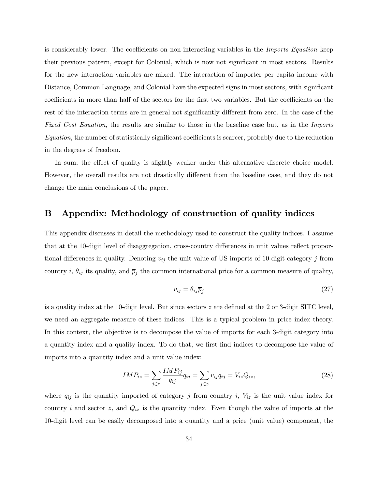is considerably lower. The coefficients on non-interacting variables in the *Imports Equation* keep their previous pattern, except for Colonial, which is now not significant in most sectors. Results for the new interaction variables are mixed. The interaction of importer per capita income with Distance, Common Language, and Colonial have the expected signs in most sectors, with significant coefficients in more than half of the sectors for the first two variables. But the coefficients on the rest of the interaction terms are in general not significantly different from zero. In the case of the Fixed Cost Equation, the results are similar to those in the baseline case but, as in the Imports Equation, the number of statistically significant coefficients is scarcer, probably due to the reduction in the degrees of freedom.

In sum, the effect of quality is slightly weaker under this alternative discrete choice model. However, the overall results are not drastically different from the baseline case, and they do not change the main conclusions of the paper.

# B Appendix: Methodology of construction of quality indices

This appendix discusses in detail the methodology used to construct the quality indices. I assume that at the 10-digit level of disaggregation, cross-country differences in unit values reflect proportional differences in quality. Denoting  $v_{ij}$  the unit value of US imports of 10-digit category j from country i,  $\theta_{ij}$  its quality, and  $\overline{p}_j$  the common international price for a common measure of quality,

$$
v_{ij} = \theta_{ij} \overline{p}_j \tag{27}
$$

is a quality index at the 10-digit level. But since sectors z are defined at the 2 or 3-digit SITC level, we need an aggregate measure of these indices. This is a typical problem in price index theory. In this context, the objective is to decompose the value of imports for each 3-digit category into a quantity index and a quality index. To do that, we first find indices to decompose the value of imports into a quantity index and a unit value index:

$$
IMP_{iz} = \sum_{j \in z} \frac{IMP_{ij}}{q_{ij}} q_{ij} = \sum_{j \in z} v_{ij} q_{ij} = V_{iz} Q_{iz},
$$
\n(28)

where  $q_{ij}$  is the quantity imported of category j from country i,  $V_{iz}$  is the unit value index for country i and sector z, and  $Q_{iz}$  is the quantity index. Even though the value of imports at the 10-digit level can be easily decomposed into a quantity and a price (unit value) component, the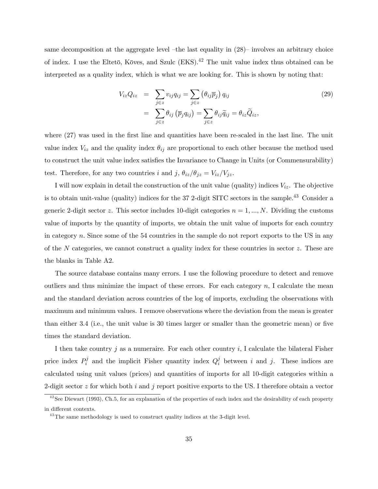same decomposition at the aggregate level –the last equality in  $(28)$ – involves an arbitrary choice of index. I use the Eltetö, Köves, and Szulc  $(EKS)$ .<sup>42</sup> The unit value index thus obtained can be interpreted as a quality index, which is what we are looking for. This is shown by noting that:

$$
V_{iz}Q_{iz} = \sum_{j \in z} v_{ij}q_{ij} = \sum_{j \in z} (\theta_{ij}\overline{p}_j) q_{ij}
$$
  
= 
$$
\sum_{j \in z} \theta_{ij} (\overline{p}_j q_{ij}) = \sum_{j \in z} \theta_{ij} \widetilde{q}_{ij} = \theta_{iz} \widetilde{Q}_{iz},
$$
 (29)

where  $(27)$  was used in the first line and quantities have been re-scaled in the last line. The unit value index  $V_{iz}$  and the quality index  $\theta_{ij}$  are proportional to each other because the method used to construct the unit value index satisfies the Invariance to Change in Units (or Commensurability) test. Therefore, for any two countries i and j,  $\theta_{iz}/\theta_{jz} = V_{iz}/V_{jz}$ .

I will now explain in detail the construction of the unit value (quality) indices  $V_{iz}$ . The objective is to obtain unit-value (quality) indices for the 37 2-digit SITC sectors in the sample.<sup>43</sup> Consider a generic 2-digit sector z. This sector includes 10-digit categories  $n = 1, ..., N$ . Dividing the customs value of imports by the quantity of imports, we obtain the unit value of imports for each country in category n. Since some of the 54 countries in the sample do not report exports to the US in any of the N categories, we cannot construct a quality index for these countries in sector  $z$ . These are the blanks in Table A2.

The source database contains many errors. I use the following procedure to detect and remove outliers and thus minimize the impact of these errors. For each category  $n$ , I calculate the mean and the standard deviation across countries of the log of imports, excluding the observations with maximum and minimum values. I remove observations where the deviation from the mean is greater than either 3.4 (i.e., the unit value is 30 times larger or smaller than the geometric mean) or five times the standard deviation.

I then take country j as a numeraire. For each other country  $i$ , I calculate the bilateral Fisher price index  $P_i^j$  and the implicit Fisher quantity index  $Q_i^j$  between i and j. These indices are calculated using unit values (prices) and quantities of imports for all 10-digit categories within a 2-digit sector  $z$  for which both  $i$  and  $j$  report positive exports to the US. I therefore obtain a vector

 $^{42}$ See Diewart (1993), Ch.5, for an explanation of the properties of each index and the desirability of each property in different contexts.

 $43$ The same methodology is used to construct quality indices at the 3-digit level.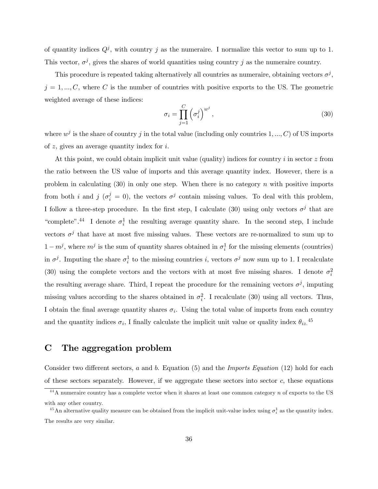of quantity indices  $Q<sup>j</sup>$ , with country j as the numeraire. I normalize this vector to sum up to 1. This vector,  $\sigma^{j}$ , gives the shares of world quantities using country j as the numeraire country.

This procedure is repeated taking alternatively all countries as numeraire, obtaining vectors  $\sigma^j$ ,  $j = 1, ..., C$ , where C is the number of countries with positive exports to the US. The geometric weighted average of these indices:

$$
\sigma_i = \prod_{j=1}^C \left(\sigma_i^j\right)^{w^j},\tag{30}
$$

where  $w^j$  is the share of country j in the total value (including only countries 1, ..., C) of US imports of z, gives an average quantity index for i.

At this point, we could obtain implicit unit value (quality) indices for country  $i$  in sector  $z$  from the ratio between the US value of imports and this average quantity index. However, there is a problem in calculating  $(30)$  in only one step. When there is no category n with positive imports from both i and j  $(\sigma_i^j = 0)$ , the vectors  $\sigma_j^j$  contain missing values. To deal with this problem, I follow a three-step procedure. In the first step, I calculate (30) using only vectors  $\sigma^j$  that are "complete".<sup>44</sup> I denote  $\sigma_i^1$  the resulting average quantity share. In the second step, I include vectors  $\sigma^{j}$  that have at most five missing values. These vectors are re-normalized to sum up to  $1 - m^j$ , where  $m^j$  is the sum of quantity shares obtained in  $\sigma_i^1$  for the missing elements (countries) in  $\sigma^j$ . Imputing the share  $\sigma_i^1$  to the missing countries i, vectors  $\sigma^j$  now sum up to 1. I recalculate (30) using the complete vectors and the vectors with at most five missing shares. I denote  $\sigma_i^2$ the resulting average share. Third, I repeat the procedure for the remaining vectors  $\sigma^j$ , imputing missing values according to the shares obtained in  $\sigma_i^2$ . I recalculate (30) using all vectors. Thus, I obtain the final average quantity shares  $\sigma_i$ . Using the total value of imports from each country and the quantity indices  $\sigma_i$ , I finally calculate the implicit unit value or quality index  $\theta_{iz}$ <sup>45</sup>

## C The aggregation problem

Consider two different sectors, a and b. Equation (5) and the *Imports Equation* (12) hold for each of these sectors separately. However, if we aggregate these sectors into sector  $c$ , these equations

 $^{44}$ A numeraire country has a complete vector when it shares at least one common category n of exports to the US with any other country.

<sup>&</sup>lt;sup>45</sup>An alternative quality measure can be obtained from the implicit unit-value index using  $\sigma_i^1$  as the quantity index. The results are very similar.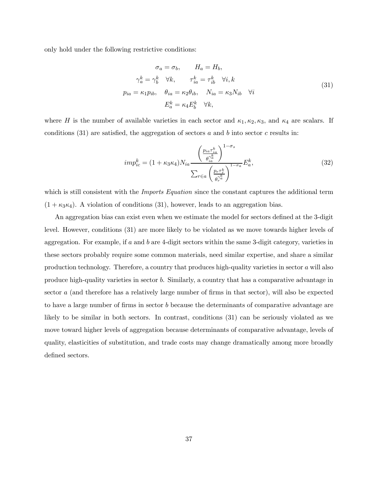only hold under the following restrictive conditions:

$$
\sigma_a = \sigma_b, \qquad H_a = H_b,
$$
  
\n
$$
\gamma_a^k = \gamma_b^k \quad \forall k, \qquad \tau_{ia}^k = \tau_{ib}^k \quad \forall i, k
$$
  
\n
$$
p_{ia} = \kappa_1 p_{ib}, \quad \theta_{ia} = \kappa_2 \theta_{ib}, \qquad N_{ia} = \kappa_3 N_{ib} \quad \forall i
$$
  
\n
$$
E_a^k = \kappa_4 E_b^k \quad \forall k,
$$
\n(31)

where H is the number of available varieties in each sector and  $\kappa_1, \kappa_2, \kappa_3$ , and  $\kappa_4$  are scalars. If conditions  $(31)$  are satisfied, the aggregation of sectors a and b into sector c results in:

$$
imp_{ic}^{k} = (1 + \kappa_{3}\kappa_{4})N_{ia} \frac{\left(\frac{p_{ia}\tau_{ia}^{k}}{\theta_{ia}^{\gamma_{a}^{k}}}\right)^{1-\sigma_{s}}}{\sum_{r \in a} \left(\frac{p_{r}\tau_{r}^{k}}{\theta_{r}^{\gamma_{a}^{k}}}\right)^{1-\sigma_{a}}}E_{a}^{k},
$$
\n(32)

which is still consistent with the *Imports Equation* since the constant captures the additional term  $(1 + \kappa_3 \kappa_4)$ . A violation of conditions (31), however, leads to an aggregation bias.

An aggregation bias can exist even when we estimate the model for sectors defined at the 3-digit level. However, conditions (31) are more likely to be violated as we move towards higher levels of aggregation. For example, if a and b are 4-digit sectors within the same 3-digit category, varieties in these sectors probably require some common materials, need similar expertise, and share a similar production technology. Therefore, a country that produces high-quality varieties in sector a will also produce high-quality varieties in sector b. Similarly, a country that has a comparative advantage in sector a (and therefore has a relatively large number of firms in that sector), will also be expected to have a large number of firms in sector b because the determinants of comparative advantage are likely to be similar in both sectors. In contrast, conditions (31) can be seriously violated as we move toward higher levels of aggregation because determinants of comparative advantage, levels of quality, elasticities of substitution, and trade costs may change dramatically among more broadly defined sectors.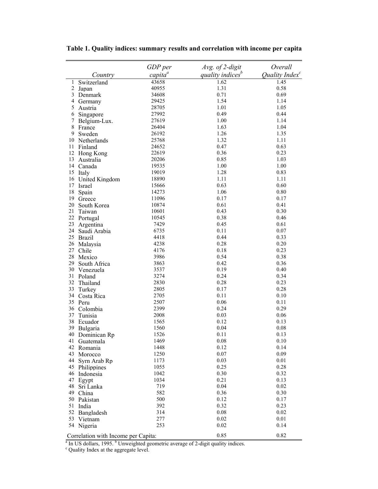|                |                                       | GDP per    | Avg. of 2-digit                                                                            | Overall                    |
|----------------|---------------------------------------|------------|--------------------------------------------------------------------------------------------|----------------------------|
|                | Country                               | $capita^a$ | quality indices <sup>b</sup>                                                               | Quality Index <sup>c</sup> |
| 1              | Switzerland                           | 43658      | 1.62                                                                                       | 1.45                       |
| $\overline{2}$ | Japan                                 | 40955      | 1.31                                                                                       | 0.58                       |
| 3              | Denmark                               | 34608      | 0.71                                                                                       | 0.69                       |
| 4              | Germany                               | 29425      | 1.54                                                                                       | 1.14                       |
| 5              | Austria                               | 28705      | 1.01                                                                                       | 1.05                       |
| 6              | Singapore                             | 27992      | 0.49                                                                                       | 0.44                       |
| 7              | Belgium-Lux.                          | 27619      | 1.00                                                                                       | 1.14                       |
| 8              | France                                | 26404      | 1.63                                                                                       | 1.04                       |
| 9              | Sweden                                | 26192      | 1.26                                                                                       | 1.35                       |
| 10             | Netherlands                           | 25768      | 1.32                                                                                       | 1.11                       |
| 11             | Finland                               | 24652      | 0.47                                                                                       | 0.63                       |
| 12             | Hong Kong                             | 22619      | 0.36                                                                                       | 0.23                       |
| 13             | Australia                             | 20206      | 0.85                                                                                       | 1.03                       |
| 14             | Canada                                | 19535      | 1.00                                                                                       | 1.00                       |
| 15             | Italy                                 | 19019      | 1.28                                                                                       | 0.83                       |
| 16             | United Kingdom                        | 18890      | 1.11                                                                                       | 1.11                       |
| 17             | Israel                                | 15666      | 0.63                                                                                       | 0.60                       |
| 18             | Spain                                 | 14273      | 1.06                                                                                       | 0.80                       |
| 19             | Greece                                | 11096      | 0.17                                                                                       | 0.17                       |
| 20             | South Korea                           | 10874      | 0.61                                                                                       | 0.41                       |
| 21             | Taiwan                                | 10601      | 0.43                                                                                       | 0.30                       |
| 22             | Portugal                              | 10545      | 0.38                                                                                       | 0.46                       |
| 23             | Argentina                             | 7429       | 0.45                                                                                       | 0.61                       |
| 24             | Saudi Arabia                          | 6735       | 0.11                                                                                       | 0.07                       |
|                | 25 Brazil                             | 4418       | 0.44                                                                                       | 0.33                       |
| 26             | Malaysia                              | 4238       | 0.28                                                                                       | 0.20                       |
| 27             | Chile                                 | 4176       | 0.18                                                                                       | 0.23                       |
| 28             | Mexico                                | 3986       | 0.54                                                                                       | 0.38                       |
| 29             | South Africa                          | 3863       | 0.42                                                                                       | 0.36                       |
| 30             | Venezuela                             | 3537       | 0.19                                                                                       | 0.40                       |
| 31             | Poland                                | 3274       | 0.24                                                                                       | 0.34                       |
| 32             | Thailand                              | 2830       | 0.28                                                                                       | 0.23                       |
| 33             | Turkey                                | 2805       | 0.17                                                                                       | 0.28                       |
| 34             | Costa Rica                            | 2705       | 0.11                                                                                       | $0.10\,$                   |
| 35             | Peru                                  | 2507       | 0.06                                                                                       | 0.11                       |
| 36             | Colombia                              | 2399       | 0.24                                                                                       | 0.29                       |
| 37             | Tunisia                               | 2008       | 0.03                                                                                       | 0.06                       |
| 38             | Ecuador                               | 1565       | 0.12                                                                                       | 0.13                       |
| 39             | Bulgaria                              | 1560       | 0.04                                                                                       | 0.08                       |
| 40             | Dominican Rp                          | 1526       | 0.11                                                                                       | 0.13                       |
|                | 41 Guatemala                          | 1469       | 0.08                                                                                       | 0.10                       |
|                | 42 Romania                            | 1448       | 0.12                                                                                       | 0.14                       |
| 43             | Morocco                               | 1250       | 0.07                                                                                       | 0.09                       |
| 44             |                                       | 1173       | 0.03                                                                                       | 0.01                       |
|                | Syrn Arab Rp                          | 1055       | 0.25                                                                                       | 0.28                       |
|                | 45 Philippines                        | 1042       | 0.30                                                                                       | 0.32                       |
|                | 46 Indonesia                          |            |                                                                                            |                            |
| 47             | Egypt                                 | 1034       | 0.21                                                                                       | 0.13                       |
| 48             | Sri Lanka                             | 719        | 0.04                                                                                       | 0.02                       |
|                | 49 China                              | 582        | 0.36                                                                                       | 0.30                       |
|                | 50 Pakistan                           | 500        | 0.12                                                                                       | 0.17                       |
|                | 51 India                              | 392        | 0.32                                                                                       | 0.23                       |
|                | 52 Bangladesh                         | 314        | $0.08\,$                                                                                   | 0.02                       |
|                | 53 Vietnam                            | 277        | 0.02                                                                                       | 0.01                       |
|                | 54 Nigeria                            | 253        | 0.02                                                                                       | 0.14                       |
|                | Correlation with Income per Capita:   |            | 0.85                                                                                       | 0.82                       |
|                |                                       |            | In US dollars, 1995. <sup>b</sup> Unweighted geometric average of 2-digit quality indices. |                            |
|                | Quality Index at the aggregate level. |            |                                                                                            |                            |

**Table 1. Quality indices: summary results and correlation with income per capita**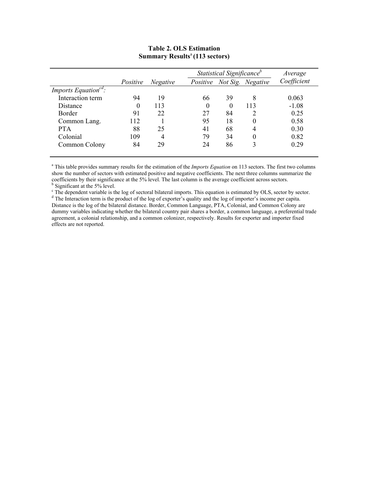|                                                      |          |                 |          | Statistical Significance <sup>b</sup> |                   | Average     |
|------------------------------------------------------|----------|-----------------|----------|---------------------------------------|-------------------|-------------|
|                                                      | Positive | <i>Negative</i> | Positive |                                       | Not Sig. Negative | Coefficient |
| <i>Imports Equation</i> <sup><math>cd</math></sup> : |          |                 |          |                                       |                   |             |
| Interaction term                                     | 94       | 19              | 66       | 39                                    | 8                 | 0.063       |
| Distance                                             | $\theta$ | 113             | $\theta$ | 0                                     | 113               | $-1.08$     |
| <b>Border</b>                                        | 91       | 22              | 27       | 84                                    |                   | 0.25        |
| Common Lang.                                         | 112      |                 | 95       | 18                                    | 0                 | 0.58        |
| <b>PTA</b>                                           | 88       | 25              | 41       | 68                                    | 4                 | 0.30        |
| Colonial                                             | 109      | 4               | 79       | 34                                    | 0                 | 0.82        |
| Common Colony                                        | 84       | 29              | 24       | 86                                    |                   | 0.29        |

### **Table 2. OLS Estimation Summary Results**<sup>a</sup> **(113 sectors)**

<sup>a</sup> This table provides summary results for the estimation of the *Imports Equation* on 113 sectors. The first two columns show the number of sectors with estimated positive and negative coefficients. The next three columns summarize the coefficients by their significance at the 5% level. The last column is the average coefficient across sectors.<br><sup>b</sup> Significant at the 5% level.

The dependent variable is the log of sectoral bilateral imports. This equation is estimated by OLS, sector by sector.<br> $d$  The Interaction term is the product of the log of supertar's quality and the log of importar's inco

<sup>d</sup> The Interaction term is the product of the log of exporter's quality and the log of importer's income per capita. Distance is the log of the bilateral distance. Border, Common Language, PTA, Colonial, and Common Colony are dummy variables indicating whether the bilateral country pair shares a border, a common language, a preferential trade agreement, a colonial relationship, and a common colonizer, respectively. Results for exporter and importer fixed effects are not reported.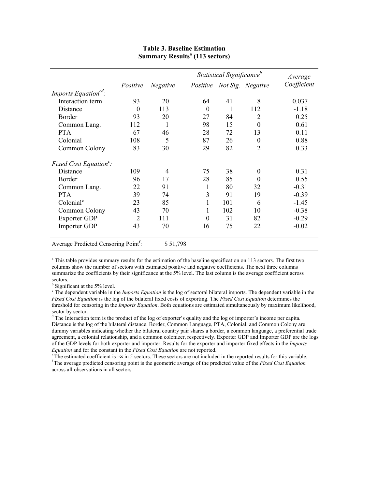|                                                  |                |                 |                  | Statistical Significance <sup>b</sup> |                   | Average     |
|--------------------------------------------------|----------------|-----------------|------------------|---------------------------------------|-------------------|-------------|
|                                                  | Positive       | <b>Negative</b> | Positive         |                                       | Not Sig. Negative | Coefficient |
| Imports Equation <sup>cd</sup> :                 |                |                 |                  |                                       |                   |             |
| Interaction term                                 | 93             | 20              | 64               | 41                                    | 8                 | 0.037       |
| Distance                                         | $\Omega$       | 113             | $\theta$         | 1                                     | 112               | $-1.18$     |
| Border                                           | 93             | 20              | 27               | 84                                    | 2                 | 0.25        |
| Common Lang.                                     | 112            | $\mathbf{1}$    | 98               | 15                                    | $\overline{0}$    | 0.61        |
| <b>PTA</b>                                       | 67             | 46              | 28               | 72                                    | 13                | 0.11        |
| Colonial                                         | 108            | 5               | 87               | 26                                    | $\boldsymbol{0}$  | 0.88        |
| Common Colony                                    | 83             | 30              | 29               | 82                                    | 2                 | 0.33        |
| Fixed Cost Equation <sup>c</sup> :               |                |                 |                  |                                       |                   |             |
| Distance                                         | 109            | 4               | 75               | 38                                    | $\boldsymbol{0}$  | 0.31        |
| Border                                           | 96             | 17              | 28               | 85                                    | $\theta$          | 0.55        |
| Common Lang.                                     | 22             | 91              | 1                | 80                                    | 32                | $-0.31$     |
| <b>PTA</b>                                       | 39             | 74              | 3                | 91                                    | 19                | $-0.39$     |
| Colonial <sup>e</sup>                            | 23             | 85              | 1                | 101                                   | 6                 | $-1.45$     |
| Common Colony                                    | 43             | 70              | 1                | 102                                   | 10                | $-0.38$     |
| <b>Exporter GDP</b>                              | $\overline{2}$ | 111             | $\boldsymbol{0}$ | 31                                    | 82                | $-0.29$     |
| Importer GDP                                     | 43             | 70              | 16               | 75                                    | 22                | $-0.02$     |
| Average Predicted Censoring Point <sup>1</sup> : | \$51,798       |                 |                  |                                       |                   |             |

#### **Table 3. Baseline Estimation Summary Results<sup>a</sup>** (113 sectors)

<sup>a</sup> This table provides summary results for the estimation of the baseline specification on 113 sectors. The first two columns show the number of sectors with estimated positive and negative coefficients. The next three columns summarize the coefficients by their significance at the 5% level. The last column is the average coefficient across sectors.

<sup>b</sup> Significant at the 5% level.

<sup>c</sup> The dependent variable in the *Imports Equation* is the log of sectoral bilateral imports. The dependent variable in the *Fixed Cost Equation* is the log of the bilateral fixed costs of exporting. The *Fixed Cost Equation* determines the threshold for censoring in the *Imports Equation*. Both equations are estimated simultaneously by maximum likelihood, sector by sector.<br><sup>d</sup> The Interaction term is the product of the log of exporter's quality and the log of importer's income per capita.

Distance is the log of the bilateral distance. Border, Common Language, PTA, Colonial, and Common Colony are dummy variables indicating whether the bilateral country pair shares a border, a common language, a preferential trade agreement, a colonial relationship, and a common colonizer, respectively. Exporter GDP and Importer GDP are the logs of the GDP levels for both exporter and importer. Results for the exporter and importer fixed effects in the *Imports* 

*Equation* and for the constant in the *Fixed Cost Equation* are not reported.<br><sup>e</sup> The estimated coefficient is  $-\infty$  in 5 sectors. These sectors are not included in the reported results for this variable.<br><sup>f</sup> The average across all observations in all sectors.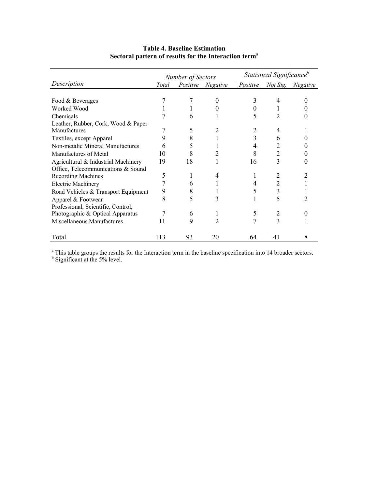|                                     |       | Number of Sectors |                 | Statistical Significance <sup>b</sup> |                 |                 |  |
|-------------------------------------|-------|-------------------|-----------------|---------------------------------------|-----------------|-----------------|--|
| Description                         | Total | Positive          | <b>Negative</b> | Positive                              | <i>Not Sig.</i> | <b>Negative</b> |  |
|                                     |       |                   |                 |                                       |                 |                 |  |
| Food & Beverages                    |       |                   | 0               | 3                                     | 4               |                 |  |
| Worked Wood                         |       |                   |                 | 0                                     |                 |                 |  |
| Chemicals                           |       | 6                 |                 | 5                                     | 2               |                 |  |
| Leather, Rubber, Cork, Wood & Paper |       |                   |                 |                                       |                 |                 |  |
| Manufactures                        |       | 5                 |                 |                                       | 4               |                 |  |
| Textiles, except Apparel            |       | 8                 |                 | 3                                     | h               |                 |  |
| Non-metalic Mineral Manufactures    |       |                   |                 | 4                                     |                 |                 |  |
| Manufactures of Metal               | 10    | 8                 |                 | 8                                     | 2               |                 |  |
| Agricultural & Industrial Machinery | 19    | 18                |                 | 16                                    |                 |                 |  |
| Office, Telecommunications & Sound  |       |                   |                 |                                       |                 |                 |  |
| <b>Recording Machines</b>           | 5     |                   | 4               |                                       |                 |                 |  |
| <b>Electric Machinery</b>           |       | h                 |                 | 4                                     |                 |                 |  |
| Road Vehicles & Transport Equipment | 9     | 8                 |                 | 5                                     | 3               |                 |  |
| Apparel & Footwear                  | 8     |                   | 3               |                                       | 5               |                 |  |
| Professional, Scientific, Control,  |       |                   |                 |                                       |                 |                 |  |
| Photographic & Optical Apparatus    |       | 6                 |                 | 5                                     |                 |                 |  |
| Miscellaneous Manufactures          |       | 9                 | 7               |                                       | 3               |                 |  |
|                                     |       |                   |                 |                                       |                 |                 |  |
| Total                               | 113   | 93                | 20              | 64                                    | 41              | 8               |  |

# **Table 4. Baseline Estimation Sectoral pattern of results for the Interaction term**<sup>a</sup>

<sup>a</sup> This table groups the results for the Interaction term in the baseline specification into 14 broader sectors.<br><sup>b</sup> Significant at the 5% level.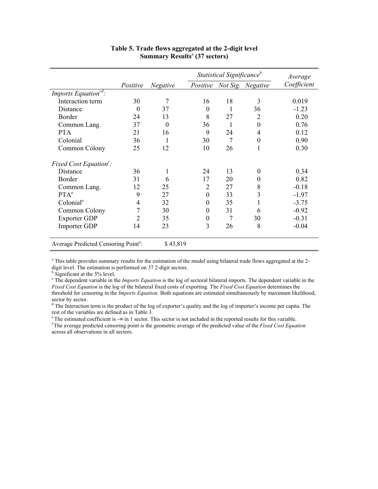|                                                              |                |                 |                  | Statistical Significance <sup>b</sup> |                   | Average     |
|--------------------------------------------------------------|----------------|-----------------|------------------|---------------------------------------|-------------------|-------------|
|                                                              | Positive       | <b>Negative</b> | Positive         |                                       | Not Sig. Negative | Coefficient |
| Imports Equation <sup>ca</sup> :                             |                |                 |                  |                                       |                   |             |
| Interaction term                                             | 30             | 7               | 16               | 18                                    | 3                 | 0.019       |
| Distance                                                     | $\theta$       | 37              | $\theta$         | 1                                     | 36                | $-1.23$     |
| Border                                                       | 24             | 13              | 8                | 27                                    | $\overline{2}$    | 0.20        |
| Common Lang.                                                 | 37             | $\theta$        | 36               |                                       | $\overline{0}$    | 0.76        |
| <b>PTA</b>                                                   | 21             | 16              | 9                | 24                                    | 4                 | 0.12        |
| Colonial                                                     | 36             |                 | 30               | 7                                     | $\boldsymbol{0}$  | 0.90        |
| Common Colony                                                | 25             | 12              | 10               | 26                                    | 1                 | 0.30        |
| Fixed Cost Equation <sup>c</sup> :                           |                |                 |                  |                                       |                   |             |
| Distance                                                     | 36             | 1               | 24               | 13                                    | $\boldsymbol{0}$  | 0.34        |
| Border                                                       | 31             | 6               | 17               | 20                                    | $\boldsymbol{0}$  | 0.82        |
| Common Lang.                                                 | 12             | 25              | $\overline{2}$   | 27                                    | 8                 | $-0.18$     |
| $PTA^e$                                                      | 9              | 27              | $\boldsymbol{0}$ | 33                                    | 3                 | $-1.97$     |
| Colonial <sup>e</sup>                                        | $\overline{4}$ | 32              | 0                | 35                                    | $\mathbf{1}$      | $-3.75$     |
| Common Colony                                                | 7              | 30              | 0                | 31                                    | 6                 | $-0.92$     |
| <b>Exporter GDP</b>                                          | 2              | 35              | 0                | 7                                     | 30                | $-0.31$     |
| <b>Importer GDP</b>                                          | 14             | 23              | 3                | 26                                    | 8                 | $-0.04$     |
| Average Predicted Censoring Point <sup>e</sup> :<br>\$43,819 |                |                 |                  |                                       |                   |             |

#### **Table 5. Trade flows aggregated at the 2-digit level Summary Results**<sup>a</sup>  **(37 sectors)**

<sup>a</sup> This table provides summary results for the estimation of the model using bilateral trade flows aggregated at the 2digit level. The estimation is performed on 37 2-digit sectors.<br><sup>b</sup> Significant at the 5% level.

<sup>c</sup> The dependent variable in the *Imports Equation* is the log of sectoral bilateral imports. The dependent variable in the *Fixed Cost Equation* is the log of the bilateral fixed costs of exporting. The *Fixed Cost Equation* determines the threshold for censoring in the *Imports Equation*. Both equations are estimated simultaneously by maximum likelihood,

sector by sector.<br><sup>d</sup> The Interaction term is the product of the log of exporter's quality and the log of importer's income per capita. The rest of the variables are defined as in Table 3.<br>
<sup>e</sup> The estimated coefficient is - $\infty$  in 1 sector. This sector is not included in the reported results for this variable.

 ${}^f$ The average predicted censoring point is the geometric average of the predicted value of the Fixed Cost Equation across all observations in all sectors.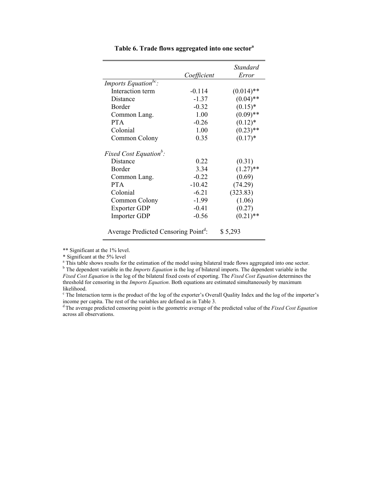|                                                  | Coefficient | Standard<br>Error |
|--------------------------------------------------|-------------|-------------------|
| Imports Equation <sup>bc</sup> :                 |             |                   |
| Interaction term                                 | $-0.114$    | $(0.014)$ **      |
| Distance                                         | $-1.37$     | $(0.04)$ **       |
| <b>Border</b>                                    | $-0.32$     | $(0.15)^*$        |
| Common Lang.                                     | 1.00        | $(0.09)$ **       |
| <b>PTA</b>                                       | $-0.26$     | $(0.12)^*$        |
| Colonial                                         | 1.00        | $(0.23)$ **       |
| Common Colony                                    | 0.35        | $(0.17)^*$        |
| Fixed Cost Equation <sup>b</sup> :               |             |                   |
| Distance                                         | 0.22        | (0.31)            |
| Border                                           | 3.34        | $(1.27)$ **       |
| Common Lang.                                     | $-0.22$     | (0.69)            |
| <b>PTA</b>                                       | $-10.42$    | (74.29)           |
| Colonial                                         | $-6.21$     | (323.83)          |
| Common Colony                                    | $-1.99$     | (1.06)            |
| <b>Exporter GDP</b>                              | $-0.41$     | (0.27)            |
| <b>Importer GDP</b>                              | $-0.56$     | $(0.21)$ **       |
| Average Predicted Censoring Point <sup>d</sup> : |             | \$5,293           |

**Table 6. Trade flows aggregated into one sector<sup>a</sup>**

\*\* Significant at the 1% level.

\* Significant at the 5% level

<sup>a</sup> This table shows results for the estimation of the model using bilateral trade flows aggregated into one sector.

<sup>b</sup> The dependent variable in the *Imports Equation* is the log of bilateral imports. The dependent variable in the *Fixed Cost Equation* is the log of the bilateral fixed costs of exporting. The *Fixed Cost Equation* determines the threshold for censoring in the *Imports Equation*. Both equations are estimated simultaneously by maximum

likelihood.

<sup>c</sup> The Interaction term is the product of the log of the exporter's Overall Quality Index and the log of the importer's income per capita. The rest of the variables are defined as in Table 3.<br><sup>d</sup> The average predicted censoring point is the geometric average of the predicted value of the *Fixed Cost Equation* 

across all observations.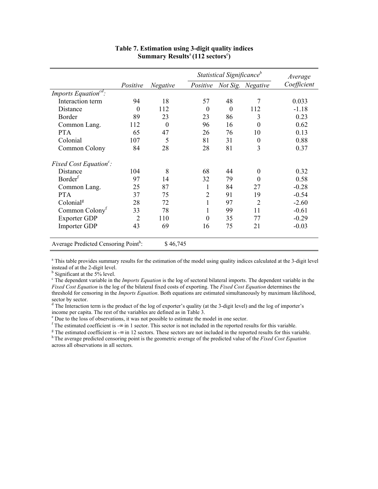|                                                  |                | Statistical Significance <sup>b</sup> |                |          |                   | Average     |
|--------------------------------------------------|----------------|---------------------------------------|----------------|----------|-------------------|-------------|
|                                                  | Positive       | <b>Negative</b>                       | Positive       |          | Not Sig. Negative | Coefficient |
| Imports Equation <sup>ca</sup> :                 |                |                                       |                |          |                   |             |
| Interaction term                                 | 94             | 18                                    | 57             | 48       | 7                 | 0.033       |
| Distance                                         | $\Omega$       | 112                                   | $\Omega$       | $\theta$ | 112               | $-1.18$     |
| Border                                           | 89             | 23                                    | 23             | 86       | 3                 | 0.23        |
| Common Lang.                                     | 112            | $\theta$                              | 96             | 16       | $\theta$          | 0.62        |
| <b>PTA</b>                                       | 65             | 47                                    | 26             | 76       | 10                | 0.13        |
| Colonial                                         | 107            | 5                                     | 81             | 31       | $\boldsymbol{0}$  | 0.88        |
| Common Colony                                    | 84             | 28                                    | 28             | 81       | 3                 | 0.37        |
| Fixed Cost Equation <sup>c</sup> :               |                |                                       |                |          |                   |             |
| Distance                                         | 104            | 8                                     | 68             | 44       | $\theta$          | 0.32        |
| Border <sup>f</sup>                              | 97             | 14                                    | 32             | 79       | $\theta$          | 0.58        |
| Common Lang.                                     | 25             | 87                                    | 1              | 84       | 27                | $-0.28$     |
| <b>PTA</b>                                       | 37             | 75                                    | $\overline{2}$ | 91       | 19                | $-0.54$     |
| Colonial <sup>g</sup>                            | 28             | 72                                    | 1              | 97       | $\overline{2}$    | $-2.60$     |
| Common Colony <sup>1</sup>                       | 33             | 78                                    | 1              | 99       | 11                | $-0.61$     |
| <b>Exporter GDP</b>                              | $\overline{2}$ | 110                                   | $\overline{0}$ | 35       | 77                | $-0.29$     |
| <b>Importer GDP</b>                              | 43             | 69                                    | 16             | 75       | 21                | $-0.03$     |
| Average Predicted Censoring Point <sup>h</sup> : | \$46,745       |                                       |                |          |                   |             |

#### **Table 7. Estimation using 3-digit quality indices Summary Results**<sup>a</sup>**(112 sectors**<sup>e</sup> **)**

<sup>a</sup> This table provides summary results for the estimation of the model using quality indices calculated at the 3-digit level instead of at the 2-digit level.

<sup>b</sup> Significant at the 5% level.

<sup>c</sup> The dependent variable in the *Imports Equation* is the log of sectoral bilateral imports. The dependent variable in the *Fixed Cost Equation* is the log of the bilateral fixed costs of exporting. The *Fixed Cost Equation* determines the threshold for censoring in the *Imports Equation*. Both equations are estimated simultaneously by maximum likelihood,

sector by sector.<br><sup>d</sup> The Interaction term is the product of the log of exporter's quality (at the 3-digit level) and the log of importer's income per capita. The rest of the variables are defined as in Table  $3$ .

<sup>e</sup> Due to the loss of observations, it was not possible to estimate the model in one sector.

f The estimated coefficient is  $-\infty$  in 1 sector. This sector is not included in the reported results for this variable.

<sup>g</sup> The estimated coefficient is  $-\infty$  in 12 sectors. These sectors are not included in the reported results for this variable.<br><sup>h</sup> The average predicted censoring point is the geometric average of the predicted value of across all observations in all sectors.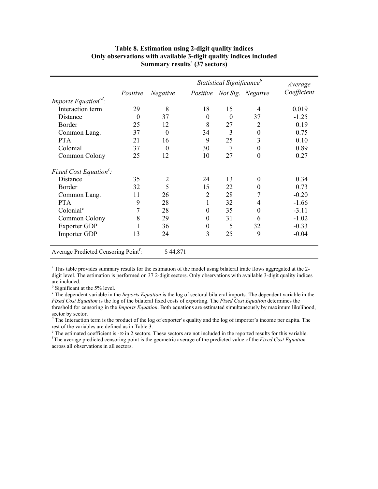|                                                  |          |          | Statistical Significance <sup>b</sup> |          |                   | Average     |
|--------------------------------------------------|----------|----------|---------------------------------------|----------|-------------------|-------------|
|                                                  | Positive | Negative | Positive                              |          | Not Sig. Negative | Coefficient |
| Imports Equation <sup>cd</sup> :                 |          |          |                                       |          |                   |             |
| Interaction term                                 | 29       | 8        | 18                                    | 15       | 4                 | 0.019       |
| Distance                                         | $\theta$ | 37       | $\theta$                              | $\theta$ | 37                | $-1.25$     |
| Border                                           | 25       | 12       | 8                                     | 27       | $\overline{2}$    | 0.19        |
| Common Lang.                                     | 37       | $\theta$ | 34                                    | 3        | $\theta$          | 0.75        |
| <b>PTA</b>                                       | 21       | 16       | 9                                     | 25       | 3                 | 0.10        |
| Colonial                                         | 37       | $\Omega$ | 30                                    | 7        | $\boldsymbol{0}$  | 0.89        |
| Common Colony                                    | 25       | 12       | 10                                    | 27       | $\boldsymbol{0}$  | 0.27        |
| Fixed Cost Equation <sup>c</sup> :               |          |          |                                       |          |                   |             |
| Distance                                         | 35       | 2        | 24                                    | 13       | $\theta$          | 0.34        |
| Border                                           | 32       | 5        | 15                                    | 22       | $\theta$          | 0.73        |
| Common Lang.                                     | 11       | 26       | $\overline{2}$                        | 28       | 7                 | $-0.20$     |
| <b>PTA</b>                                       | 9        | 28       | 1                                     | 32       | 4                 | $-1.66$     |
| Colonial <sup>e</sup>                            | 7        | 28       | $\theta$                              | 35       | $\theta$          | $-3.11$     |
| Common Colony                                    | 8        | 29       | $\theta$                              | 31       | 6                 | $-1.02$     |
| <b>Exporter GDP</b>                              |          | 36       | $\boldsymbol{0}$                      | 5        | 32                | $-0.33$     |
| Importer GDP                                     | 13       | 24       | 3                                     | 25       | 9                 | $-0.04$     |
| Average Predicted Censoring Point <sup>1</sup> : | \$44,871 |          |                                       |          |                   |             |

### **Table 8. Estimation using 2-digit quality indices Only observations with available 3-digit quality indices included**  Summary results<sup>a</sup> (37 sectors)

<sup>a</sup> This table provides summary results for the estimation of the model using bilateral trade flows aggregated at the 2digit level. The estimation is performed on 37 2-digit sectors. Only observations with available 3-digit quality indices are included.

<sup>b</sup> Significant at the 5% level.

<sup>c</sup> The dependent variable in the *Imports Equation* is the log of sectoral bilateral imports. The dependent variable in the *Fixed Cost Equation* is the log of the bilateral fixed costs of exporting. The *Fixed Cost Equation* determines the threshold for censoring in the *Imports Equation*. Both equations are estimated simultaneously by maximum likelihood, sector by sector.

<sup>d</sup> The Interaction term is the product of the log of exporter's quality and the log of importer's income per capita. The rest of the variables are defined as in Table 3.

 $\textdegree$  The estimated coefficient is  $-\infty$  in 2 sectors. These sectors are not included in the reported results for this variable.  $f$ The average predicted censoring point is the geometric average of the predicted value of the Fixed Cost Equation across all observations in all sectors.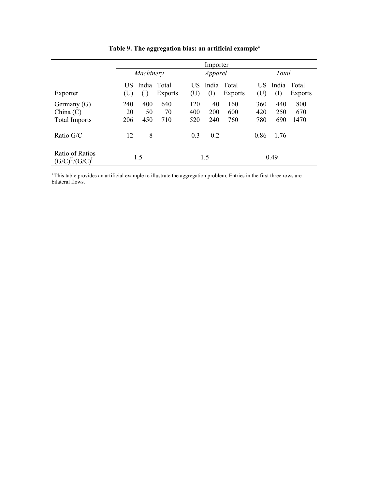|                                                    | Importer         |                  |                        |                      |                  |                               |                   |                   |                        |  |
|----------------------------------------------------|------------------|------------------|------------------------|----------------------|------------------|-------------------------------|-------------------|-------------------|------------------------|--|
|                                                    |                  | Machinery        |                        |                      | Apparel          |                               |                   | Total             |                        |  |
| Exporter                                           | US<br>U          | (I)              | India Total<br>Exports | US<br>$(\mathrm{U})$ |                  | India Total<br><b>Exports</b> | US<br>(U          | (I)               | India Total<br>Exports |  |
| Germany $(G)$<br>China (C)<br><b>Total Imports</b> | 240<br>20<br>206 | 400<br>50<br>450 | 640<br>70<br>710       | 120<br>400<br>520    | 40<br>200<br>240 | 160<br>600<br>760             | 360<br>420<br>780 | 440<br>250<br>690 | 800<br>670<br>1470     |  |
| Ratio G/C                                          | 12               | 8                |                        | 0.3                  | 0.2              |                               | 0.86              | 1.76              |                        |  |
| Ratio of Ratios<br>$(G/C)^U/(G/C)^I$               |                  | 1.5              |                        |                      | 1.5              |                               |                   | 0.49              |                        |  |

**Table 9. The aggregation bias: an artificial example**<sup>a</sup>

<sup>a</sup> This table provides an artificial example to illustrate the aggregation problem. Entries in the first three rows are bilateral flows.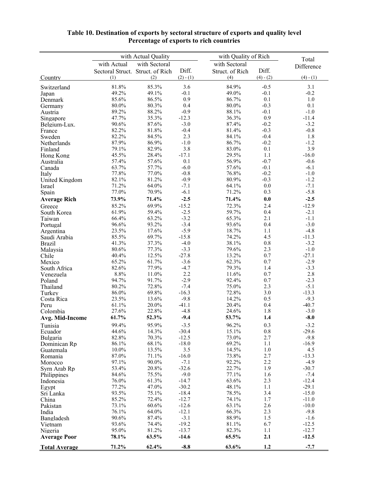|                           |                                  | with Actual Quality |                    | with Quality of Rich |                  | Total              |
|---------------------------|----------------------------------|---------------------|--------------------|----------------------|------------------|--------------------|
|                           | with Actual                      | with Sectoral       |                    | with Sectoral        |                  | Difference         |
|                           | Sectoral Struct. Struct. of Rich |                     | Diff.              | Struct. of Rich      | Diff.            |                    |
| Country                   | (1)                              | (2)                 | $(2) - (1)$        | (4)                  | $(4) - (2)$      | $(4) - (1)$        |
| Switzerland               | 81.8%                            | 85.3%               | 3.6                | 84.9%                | $-0.5$           | 3.1                |
| Japan                     | 49.2%                            | 49.1%               | $-0.1$             | 49.0%                | $-0.1$           | $-0.2$             |
| Denmark                   | 85.6%                            | 86.5%               | 0.9                | 86.7%                | 0.1              | $1.0\,$            |
| Germany                   | 80.0%                            | 80.3%               | 0.4                | 80.0%                | $-0.3$           | 0.1                |
| Austria                   | 89.2%<br>47.7%                   | 88.2%<br>35.3%      | $-0.9$<br>$-12.3$  | 88.1%<br>36.3%       | $-0.1$<br>0.9    | $-1.0$<br>$-11.4$  |
| Singapore<br>Belgium-Lux. | 90.6%                            | 87.6%               | $-3.0$             | 87.4%                | $-0.2$           | $-3.2$             |
| France                    | 82.2%                            | 81.8%               | $-0.4$             | 81.4%                | $-0.3$           | $-0.8$             |
| Sweden                    | 82.2%                            | 84.5%               | 2.3                | 84.1%                | $-0.4$           | 1.8                |
| Netherlands               | 87.9%                            | 86.9%               | $-1.0$             | 86.7%                | $-0.2$           | $-1.2$             |
| Finland                   | 79.1%                            | 82.9%               | 3.8                | 83.0%                | 0.1              | 3.9                |
| Hong Kong                 | 45.5%                            | 28.4%               | $-17.1$            | 29.5%                | 1.1              | $-16.0$            |
| Australia                 | 57.4%                            | 57.6%               | 0.1                | 56.9%                | $-0.7$           | $-0.6$             |
| Canada                    | 63.7%<br>77.8%                   | 57.7%<br>77.0%      | $-6.0$<br>$-0.8$   | 57.6%<br>76.8%       | $-0.1$<br>$-0.2$ | $-6.1$<br>$-1.0$   |
| Italy<br>United Kingdom   | 82.1%                            | 81.2%               | $-0.9$             | 80.9%                | $-0.3$           | $-1.2$             |
| Israel                    | 71.2%                            | 64.0%               | $-7.1$             | 64.1%                | 0.0              | $-7.1$             |
| Spain                     | 77.0%                            | 70.9%               | $-6.1$             | 71.2%                | 0.3              | $-5.8$             |
| <b>Average Rich</b>       | 73.9%                            | 71.4%               | $-2.5$             | 71.4%                | 0.0              | $-2.5$             |
| Greece                    | 85.2%                            | 69.9%               | $-15.2$            | 72.3%                | 2.4              | $-12.9$            |
| South Korea               | 61.9%                            | 59.4%               | $-2.5$             | 59.7%                | 0.4              | $-2.1$             |
| Taiwan                    | 66.4%                            | 63.2%               | $-3.2$             | 65.3%                | 2.1              | $-1.1$             |
| Portugal                  | 96.6%                            | 93.2%               | $-3.4$             | 93.6%                | 0.4              | $-3.0$             |
| Argentina                 | 23.5%                            | 17.6%               | $-5.9$             | 18.7%                | 1.1              | $-4.8$             |
| Saudi Arabia              | 85.5%                            | 69.7%               | $-15.8$            | 74.2%                | 4.5              | $-11.3$            |
| <b>Brazil</b>             | 41.3%                            | 37.3%               | $-4.0$             | 38.1%                | $0.8\,$          | $-3.2$             |
| Malaysia                  | 80.6%                            | 77.3%<br>12.5%      | $-3.3$<br>$-27.8$  | 79.6%                | 2.3<br>0.7       | $-1.0$<br>$-27.1$  |
| Chile<br>Mexico           | 40.4%<br>65.2%                   | 61.7%               | $-3.6$             | 13.2%<br>62.3%       | 0.7              | $-2.9$             |
| South Africa              | 82.6%                            | 77.9%               | $-4.7$             | 79.3%                | 1.4              | $-3.3$             |
| Venezuela                 | 8.8%                             | 11.0%               | 2.2                | 11.6%                | 0.7              | 2.8                |
| Poland                    | 94.7%                            | 91.7%               | $-2.9$             | 92.4%                | 0.7              | $-2.3$             |
| Thailand                  | 80.2%                            | 72.8%               | $-7.4$             | 75.0%                | 2.3              | $-5.1$             |
| Turkey                    | 86.0%                            | 69.8%               | $-16.3$            | 72.8%                | 3.0              | $-13.3$            |
| Costa Rica                | 23.5%                            | 13.6%               | $-9.8$             | 14.2%                | 0.5              | $-9.3$             |
| Peru                      | 61.1%                            | 20.0%               | $-41.1$            | 20.4%                | 0.4              | $-40.7$            |
| Colombia                  | 27.6%<br>61.7%                   | 22.8%<br>52.3%      | $-4.8$<br>$-9.4$   | 24.6%<br>53.7%       | 1.8<br>1.4       | $-3.0$<br>$-8.0$   |
| Avg. Mid-Income           |                                  |                     |                    |                      |                  |                    |
| Tunisia                   | 99.4%<br>44.6%                   | 95.9%<br>14.3%      | $-3.5$<br>$-30.4$  | 96.2%<br>15.1%       | 0.3<br>0.8       | $-3.2$<br>$-29.6$  |
| Ecuador<br>Bulgaria       | 82.8%                            | 70.3%               | $-12.5$            | 73.0%                | 2.7              | $-9.8$             |
| Dominican Rp              | 86.1%                            | 68.1%               | $-18.0$            | 69.2%                | 1.1              | $-16.9$            |
| Guatemala                 | 10.0%                            | 13.5%               | 3.5                | 14.5%                | 1.0              | 4.5                |
| Romania                   | 87.0%                            | 71.1%               | $-16.0$            | 73.8%                | 2.7              | $-13.3$            |
| Morocco                   | 97.1%                            | 90.0%               | $-7.1$             | 92.2%                | 2.2              | $-4.9$             |
| Syrn Arab Rp              | 53.4%                            | 20.8%               | $-32.6$            | 22.7%                | 1.9              | $-30.7$            |
| Philippines               | 84.6%                            | 75.5%               | $-9.0$             | 77.1%                | 1.6              | $-7.4$             |
| Indonesia                 | 76.0%                            | 61.3%               | $-14.7$            | 63.6%                | 2.3              | $-12.4$            |
| Egypt                     | 77.2%<br>93.5%                   | 47.0%<br>75.1%      | $-30.2$<br>$-18.4$ | 48.1%<br>78.5%       | 1.1<br>3.4       | $-29.1$<br>$-15.0$ |
| Sri Lanka<br>China        | 85.2%                            | 72.4%               | $-12.7$            | 74.1%                | 1.7              | $-11.0$            |
| Pakistan                  | 73.1%                            | 60.6%               | $-12.6$            | 63.1%                | 2.6              | $-10.0$            |
| India                     | 76.1%                            | 64.0%               | $-12.1$            | 66.3%                | 2.3              | $-9.8$             |
| Bangladesh                | 90.6%                            | 87.4%               | $-3.1$             | 88.9%                | 1.5              | $-1.6$             |
| Vietnam                   | 93.6%                            | 74.4%               | $-19.2$            | 81.1%                | 6.7              | $-12.5$            |
| Nigeria                   | 95.0%                            | 81.2%               | $-13.7$            | 82.3%                | 1.1              | $-12.7$            |
| <b>Average Poor</b>       | 78.1%                            | 63.5%               | $-14.6$            | 65.5%                | 2.1              | $-12.5$            |
| <b>Total Average</b>      | 71.2%                            | 62.4%               | $-8.8$             | 63.6%                | 1.2              | $-7.7$             |

#### **Table 10. Destination of exports by sectoral structure of exports and quality level Percentage of exports to rich countries**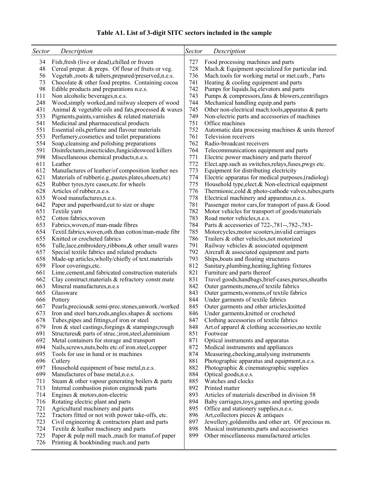# **Table A1. List of 3-digit SITC sectors included in the sample**

| <b>Sector</b> | Description                                                                                         | Sector     | Description                                                                                      |
|---------------|-----------------------------------------------------------------------------------------------------|------------|--------------------------------------------------------------------------------------------------|
| 34            | Fish, fresh (live or dead), chilled or frozen                                                       | 727        | Food processing machines and parts                                                               |
| 48            | Cereal prepar. & preps. Of flour of fruits or veg.                                                  | 728        | Mach.& Equipment specialized for particular ind.                                                 |
| 56            | Vegetab., roots & tubers, prepared/preserved, n.e.s.                                                | 736        | Mach.tools for working metal or met.carb., Parts                                                 |
| 73            | Chocolate & other food preptns. Containing cocoa                                                    | 741        | Heating & cooling equipment and parts                                                            |
| 98<br>111     | Edible products and preparations n.e.s.<br>Non alcoholic beverages, n.e.s.                          | 742<br>743 | Pumps for liquids.liq.elevators and parts<br>Pumps & compressors, fans & blowers, centrifuges    |
| 248           | Wood, simply worked, and railway sleepers of wood                                                   | 744        | Mechanical handling equip.and parts                                                              |
| 431           | Animal & vegetable oils and fats, processed & waxes                                                 | 745        | Other non-electrical mach.tools, apparatus $\&$ parts                                            |
| 533           | Pigments, paints, varnishes & related materials                                                     | 749        | Non-electric parts and accessories of machines                                                   |
| 541           | Medicinal and pharmaceutical products                                                               | 751        | Office machines                                                                                  |
| 551           | Essential oils, perfume and flavour materials                                                       | 752        | Automatic data processing machines $\&$ units thereof                                            |
| 553           | Perfumery, cosmetics and toilet preparations                                                        | 761        | Television receivers                                                                             |
| 554           | Soap, cleansing and polishing preparations                                                          | 762        | Radio-broadcast receivers                                                                        |
| 591           | Disinfectants, insecticides, fungicides weed killers                                                | 764        | Telecommunications equipment and parts                                                           |
| 598           | Miscellaneous chemical products, n.e.s.<br>Leather                                                  | 771        | Electric power machinery and parts thereof                                                       |
| 611<br>612    | Manufactures of leather/of composition leather nes                                                  | 772<br>773 | Elect.app.such as switches, relays, fuses, pwgs etc.<br>Equipment for distributing electricity   |
| 621           | Materials of rubber(e.g., pastes.plates, sheets, etc)                                               | 774        | Electric apparatus for medical purposes, (radiolog)                                              |
| 625           | Rubber tyres, tyre cases, etc. for wheels                                                           | 775        | Household type, elect.& Non-electrical equipment                                                 |
| 628           | Articles of rubber, n.e.s.                                                                          | 776        | Thermionic, cold & photo-cathode valves, tubes, parts                                            |
| 635           | Wood manufactures, n.e.s.                                                                           | 778        | Electrical machinery and apparatus, n.e.s.                                                       |
| 642           | Paper and paperboard, cut to size or shape                                                          | 781        | Passenger motor cars, for transport of pass. & Good                                              |
| 651           | Textile yarn                                                                                        | 782        | Motor vehicles for transport of goods/materials                                                  |
| 652           | Cotton fabrics, woven                                                                               | 783        | Road motor vehicles, n.e.s.                                                                      |
| 653<br>654    | Fabrics, woven, of man-made fibres<br>Textil.fabrics, woven, oth.than cotton/man-made fibr          | 784<br>785 | Parts & accessories of 722-, 781--, 782-, 783-<br>Motorcycles, motor scooters, invalid carriages |
| 655           | Knitted or crocheted fabrics                                                                        | 786        | Trailers & other vehicles, not motorized                                                         |
| 656           | Tulle, lace, embroidery, ribbons, & other small wares                                               | 791        | Railway vehicles & associated equipment                                                          |
| 657           | Special textile fabrics and related products                                                        | 792        | Aircraft & associated equipment and parts                                                        |
| 658           | Made-up articles, wholly/chiefly of text. materials                                                 | 793        | Ships, boats and floating structures                                                             |
| 659           | Floor coverings, etc.                                                                               | 812        | Sanitary, plumbing, heating, lighting fixtures                                                   |
| 661           | Lime, cement, and fabricated construction materials                                                 | 821        | Furniture and parts thereof                                                                      |
| 662<br>663    | Clay construct materials & refractory constr.mate<br>Mineral manufactures, n.e.s                    | 831<br>842 | Travel goods, handbags, brief-cases, purses, sheaths<br>Outer garments, mens, of textile fabrics |
| 665           | Glassware                                                                                           | 843        | Outer garments, womens, of textile fabrics                                                       |
| 666           | Pottery                                                                                             | 844        | Under garments of textile fabrics                                                                |
| 667           | Pearls, precious & semi-prec.stones, unwork./worked                                                 | 845        | Outer garments and other articles, knitted                                                       |
| 673           | Iron and steel bars, rods, angles. shapes $\&$ sections                                             | 846        | Under garments, knitted or crocheted                                                             |
| 678           | Tubes, pipes and fittings, of iron or steel                                                         | 847        | Clothing accessories of textile fabrics                                                          |
| 679           | Iron & steel castings, forgings $\&$ stampings; rough                                               | 848        | Art of apparel & clothing accessories, no textile                                                |
| 691           | Structures & parts of struc.; iron, steel, aluminium                                                | 851        | Footwear                                                                                         |
| 692<br>694    | Metal containers for storage and transport<br>Nails, screws, nuts, bolts etc. of iron.steel, copper | 871<br>872 | Optical instruments and apparatus<br>Medical instruments and appliances                          |
| 695           | Tools for use in hand or in machines                                                                | 874        | Measuring, checking, analysing instruments                                                       |
| 696           | Cutlery                                                                                             | 881        | Photographic apparatus and equipment, n.e.s.                                                     |
| 697           | Household equipment of base metal, n.e.s.                                                           | 882        | Photographic & cinematographic supplies                                                          |
| 699           | Manufactures of base metal, n.e.s.                                                                  | 884        | Optical goods, n.e.s.                                                                            |
| 711           | Steam & other vapour generating boilers & parts                                                     | 885        | Watches and clocks                                                                               |
| 713           | Internal combustion piston engines & parts                                                          | 892        | Printed matter                                                                                   |
| 714           | Engines $&$ motors, non-electric                                                                    | 893        | Articles of materials described in division 58                                                   |
| 716<br>721    | Rotating electric plant and parts<br>Agricultural machinery and parts                               | 894<br>895 | Baby carriages, toys, games and sporting goods<br>Office and stationery supplies, n.e.s.         |
| 722           | Tractors fitted or not with power take-offs, etc.                                                   | 896        | Art, collectors pieces & antiques                                                                |
| 723           | Civil engineering & contractors plant and parts                                                     | 897        | Jewellery, goldsmiths and other art. Of precious m.                                              |
| 724           | Textile & leather machinery and parts                                                               | 898        | Musical instruments, parts and accessories                                                       |
| 725           | Paper & pulp mill mach., mach for manuf. of paper                                                   | 899        | Other miscellaneous manufactured articles                                                        |
| 726           | Printing & bookbinding mach.and parts                                                               |            |                                                                                                  |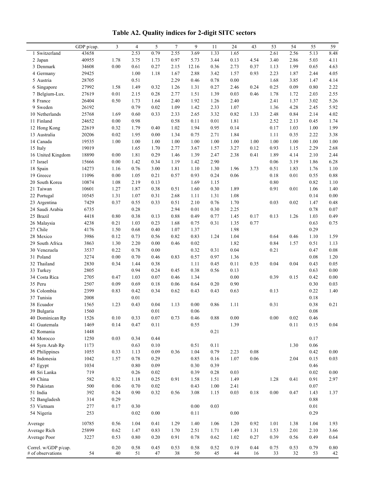**Table A2. Quality indices for 2-digit SITC sectors**

|                                           | GDP p/cap.     | 3            | 4            | 5            | $7\phantom{.0}$ | 9            | 11           | 24           | 43         | 53         | 54         | 55           | 59               |
|-------------------------------------------|----------------|--------------|--------------|--------------|-----------------|--------------|--------------|--------------|------------|------------|------------|--------------|------------------|
| 1 Switzerland                             | 43658          |              | 2.53         | 0.79         | 2.55            | 3.69         | 1.33         | 1.65         |            | 2.61       | 2.56       | 5.13         | 8.48             |
| 2 Japan                                   | 40955          | 1.78         | 3.75         | 1.73         | 0.97            | 5.73         | 3.44         | 0.13         | 4.54       | 3.40       | 2.86       | 5.03         | 4.11             |
| 3 Denmark                                 | 34608          | $0.00\,$     | 0.61         | 0.27         | 2.15            | 12.16        | 0.36         | 2.73         | 0.37       | 1.13       | 1.99       | 0.65         | 4.63             |
| 4 Germany                                 | 29425          |              | 1.00         | 1.18         | 1.67            | 2.88         | 3.42         | 1.57         | 0.93       | 2.23       | 1.87       | 2.44         | 4.05             |
| 5 Austria                                 | 28705          |              | 0.51         |              | 2.29            | 0.46         | 0.78         | $0.00\,$     |            | 1.68       | 3.85       | 1.47         | 4.14             |
| 6 Singapore                               | 27992          | 1.58         | 1.49         | 0.32         | 1.26            | 1.31         | 0.27         | 2.46         | 0.24       | 0.25       | 0.09       | 0.80         | 2.22             |
| 7 Belgium-Lux.                            | 27619          | $0.01\,$     | 2.15         | 0.28         | 2.77            | 1.51         | 1.39         | 0.03         | 0.46       | 1.78       | 1.72       | 2.03         | 2.55             |
| 8 France                                  | 26404          | 0.50         | 1.73         | 1.64         | 2.40            | 1.92         | 1.26         | 2.40         |            | 2.41       | 1.37       | 3.02         | 5.26             |
| 9 Sweden                                  | 26192          |              | 0.79         | 0.02         | 1.09            | 1.42         | 2.33         | 1.07         |            | 1.36       | 4.28       | 2.45         | 5.92             |
| 10 Netherlands                            | 25768          | 1.69         | 0.60         | 0.33         | 2.33            | 2.65         | 3.32         | 0.82         | 1.33       | 2.48       | 0.84       | 2.14         | 4.02             |
| 11 Finland                                | 24652          | 0.00         | 0.98         |              | 0.58            | 0.11         | 0.01         | 1.81         |            | 2.52       | 2.13       | 0.45         | 1.74             |
| 12 Hong Kong                              | 22619          | 0.32         | 1.79         | 0.40         | 1.02            | 1.94         | 0.95         | 0.14         |            | 0.17       | 1.03       | 1.00         | 1.99             |
| 13 Australia                              | 20206          | 0.02         | 1.95         | 0.00         | 1.34            | 0.75         | 2.71         | 1.84         |            | 1.11       | 0.35       | 2.22         | 3.38             |
| 14 Canada                                 | 19535          | 1.00         | 1.00         | 1.00         | 1.00            | 1.00         | 1.00         | 1.00         | 1.00       | 1.00       | 1.00       | 1.00         | 1.00             |
| 15 Italy                                  | 19019          |              | 1.65         | 1.70         | 2.77            | 3.67         | 1.57         | 3.27         | 0.12       | 0.93       | 1.15       | 2.29         | 2.68             |
| 16 United Kingdom                         | 18890          | 0.00         | 1.81         | 0.29         | 1.46            | 1.39         | 2.47         | 2.38         | 0.41       | 1.89       | 4.14       | 2.10         | 2.44             |
| 17 Israel                                 | 15666          | 0.00         | 1.42         | 0.34         | 1.19            | 1.42         | 2.90         |              |            | $0.06\,$   | 3.19       | 1.86         | 6.28             |
|                                           | 14273          | 1.16         | 0.76         | 3.00         | 1.81            | 1.10         | 1.30         | 1.96         | 3.73       | 0.51       | 1.83       | 1.76         | 1.10             |
| 18 Spain<br>19 Greece                     | 11096          | $0.00\,$     | 1.05         | 0.21         | 0.57            | 0.93         | 0.24         | 0.06         |            | $0.18\,$   | 0.01       | 0.55         | 0.88             |
| 20 South Korea                            | 10874          | 1.08         | 2.19         | 0.13         |                 | 1.69         | 1.15         |              |            | $0.80\,$   |            | 0.82         | 1.10             |
| 21 Taiwan                                 |                |              |              |              |                 |              |              |              |            |            | 0.01       |              |                  |
|                                           | 10601<br>10545 | 1.27<br>1.31 | 1.87<br>1.07 | 0.38<br>0.31 | 0.51<br>2.68    | 1.60<br>1.11 | 0.30<br>1.31 | 1.89<br>1.08 |            | 0.91       |            | 1.06<br>0.14 | 1.40<br>$0.00\,$ |
| 22 Portugal                               | 7429           | 0.37         | 0.55         | 0.33         | 0.51            | 2.10         | 0.76         | 1.70         |            | 0.03       | $0.02\,$   | 1.47         | 0.48             |
| 23 Argentina                              |                |              |              |              |                 |              |              |              |            |            |            | 0.78         |                  |
| 24 Saudi Arabia<br>25 Brazil              | 6735           |              | 0.28         |              | 2.94            | 0.01         | 0.30         | 2.25         | 0.17       |            |            | 1.03         | 0.07<br>0.49     |
|                                           | 4418           | $0.80\,$     | 0.38         | 0.13         | 0.88            | 0.49         | 0.77         | 1.45         |            | 0.13       | 1.26       | 0.63         |                  |
| 26 Malaysia                               | 4238           | 0.21         | 1.03         | 0.23         | 1.68            | 0.75         | 0.31         | 1.35         | 0.77       |            |            |              | 0.75             |
| 27 Chile                                  | 4176           | 1.50         | 0.68         | 0.40         | 1.07            | 1.37         |              | 1.98         |            |            |            | 0.29         |                  |
| 28 Mexico                                 | 3986           | 0.12         | 0.73         | 0.56         | 0.82            | 0.83         | 1.24         | 1.04         |            | 0.64       | 0.46       | 1.10         | 1.59             |
| 29 South Africa                           | 3863           | 1.30         | 2.20         | $0.00\,$     | 0.46            | 0.02         |              | 1.82         |            | 0.84       | 1.57       | 0.51         | 1.13             |
| 30 Venezuela                              | 3537           | 0.22         | 0.78         | 0.00         |                 | 0.32         | 0.31         | 0.04         |            | 0.21       |            | 0.47         | 0.08             |
| 31 Poland                                 | 3274           | $0.00\,$     | 0.70         | 0.46         | 0.83            | 0.57         | 0.97         | 1.36         |            |            |            | 0.08         | 1.20             |
| 32 Thailand                               | 2830           | 0.34         | 1.44         | 0.38         |                 | 1.11         | 0.45         | 0.11         | 0.35       | 0.04       | 0.04       | 0.43         | 0.05             |
| 33 Turkey                                 | 2805           |              | 0.94         | 0.24         | 0.45            | 0.38         | 0.56         | 0.13         |            |            |            | 0.63         | 0.00             |
| 34 Costa Rica                             | 2705           | 0.47         | 1.03         | $0.07\,$     | 0.46            | 1.34         |              | $0.00\,$     |            | 0.39       | 0.15       | 0.42         | $0.00\,$         |
| 35 Peru                                   | 2507           | 0.09         | 0.69         | 0.18         | 0.06            | 0.64         | 0.20         | 0.90         |            |            |            | 0.30         | 0.03             |
| 36 Colombia                               | 2399           | 0.83         | 0.42         | 0.34         | 0.62            | 0.43         | 0.43         | 0.63         |            | 0.13       |            | 0.22         | 1.40             |
| 37 Tunisia                                | 2008           |              | 0.01         |              |                 |              |              |              |            |            |            | 0.18         |                  |
| 38 Ecuador                                | 1565           | 1.23         | 0.43         | 0.04         | 1.13            | $0.00\,$     | 0.86         | 1.11         |            | 0.31       |            | 0.38         | 0.21             |
| 39 Bulgaria                               | 1560           |              |              | 0.01         |                 | 0.06         |              |              |            |            |            | 0.08         |                  |
| 40 Dominican Rp                           | 1526           | $0.10\,$     | 0.33         | $0.07\,$     | 0.73            | $0.46\,$     | $\rm 0.88$   | $0.00\,$     |            | $0.00\,$   | $0.02\,$   | 0.46         |                  |
| 41 Guatemala                              | 1469           | 0.14         | 0.47         | 0.11         |                 | 0.55         |              | 1.39         |            |            | 0.11       | 0.15         | 0.04             |
| 42 Romania                                | 1448           |              |              |              |                 |              | 0.21         |              |            |            |            |              |                  |
| 43 Morocco                                | 1250           | 0.03         | 0.34         | 0.44         |                 |              |              |              |            |            |            | 0.17         |                  |
| 44 Syrn Arab Rp                           | 1173           |              | 0.63         | 0.10         |                 | 0.51         | 0.11         |              |            |            | 1.30       | 0.06         |                  |
| 45 Philippines                            | 1055           | 0.33         | 1.13         | 0.09         | 0.36            | 1.04         | 0.79         | 2.23         | $0.08\,$   |            |            | 0.42         | 0.00             |
| 46 Indonesia                              | 1042           | 1.57         | 0.78         | 0.29         |                 | 0.85         | 0.16         | 1.07         | 0.06       |            | 2.04       | 0.15         | 0.03             |
| 47 Egypt                                  | 1034           |              | 0.80         | 0.09         |                 | 0.30         | 0.39         |              |            |            |            | 0.46         |                  |
| 48 Sri Lanka                              | 719            |              | 0.26         | 0.02         |                 | 0.39         | 0.28         | 0.03         |            |            |            | 0.02         | $0.00\,$         |
| 49 China                                  | 582            | 0.32         | 1.18         | 0.25         | 0.91            | 1.58         | 1.51         | 1.49         |            | 1.28       | 0.41       | 0.91         | 2.97             |
| 50 Pakistan                               | 500            | 0.06         | 0.70         | $0.02\,$     |                 | 0.43         | 1.00         | 2.41         |            |            |            | 0.07         |                  |
| 51 India                                  | 392            | 0.24         | 0.90         | 0.32         | 0.56            | 3.08         | 1.15         | 0.03         | 0.18       | 0.00       | 0.47       | 1.43         | 1.37             |
| 52 Bangladesh                             | 314            | 0.29         |              |              |                 |              |              |              |            |            |            | 0.88         |                  |
| 53 Vietnam                                | 277            | 0.17         | 0.30         |              |                 | 0.00         | 0.03         |              |            |            |            | 0.01         |                  |
| 54 Nigeria                                | 253            |              | 0.02         | $0.00\,$     |                 | 0.11         |              | 0.00         |            |            |            | 0.29         |                  |
| Average                                   | 10785          | 0.56         | 1.04         | 0.41         | 1.29            | 1.40         | 1.06         | 1.20         | 0.92       | 1.01       | 1.38       | 1.04         | 1.93             |
| Average Rich                              | 25899          | 0.62         | 1.47         | 0.83         | 1.70            | 2.51         | 1.71         | 1.49         | 1.31       | 1.53       | 2.01       | 2.10         | 3.66             |
| Average Poor                              | 3227           | 0.53         | 0.80         | 0.20         | 0.91            | 0.78         | 0.62         | 1.02         | 0.27       | 0.39       | 0.56       | 0.49         | 0.64             |
|                                           |                |              |              |              |                 |              |              |              |            |            |            |              |                  |
| Correl. w/GDP p/cap.<br># of observations | 54             | 0.20<br>40   | 0.58<br>51   | 0.45<br>47   | 0.53<br>38      | 0.58<br>50   | 0.52<br>45   | 0.19<br>44   | 0.44<br>16 | 0.75<br>33 | 0.53<br>32 | 0.79<br>53   | $0.80\,$<br>42   |
|                                           |                |              |              |              |                 |              |              |              |            |            |            |              |                  |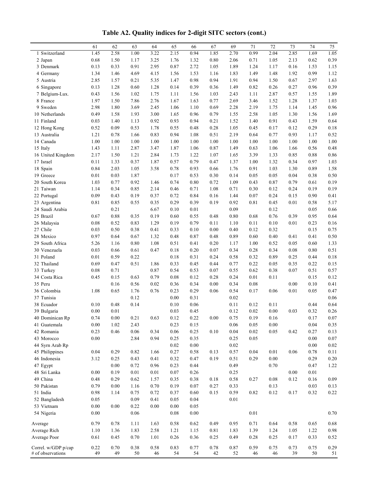|  |  | Table A2. Quality indices for 2-digit SITC sectors (cont.) |  |
|--|--|------------------------------------------------------------|--|
|  |  |                                                            |  |

|                     | 61   | 62       | 63       | 64   | 65       | 66   | 67   | 69       | 71       | 72       | 73   | 74   | 75       |
|---------------------|------|----------|----------|------|----------|------|------|----------|----------|----------|------|------|----------|
| 1 Switzerland       | 1.45 | 2.58     | 1.00     | 3.22 | 2.15     | 0.94 | 1.85 | 2.70     | 0.99     | 2.04     | 2.85 | 1.69 | 1.05     |
| 2 Japan             | 0.68 | 1.50     | 1.17     | 3.25 | 1.76     | 1.32 | 0.80 | 2.06     | 0.71     | 1.05     | 2.13 | 0.62 | 0.39     |
| 3 Denmark           | 0.13 | 0.33     | 0.91     | 2.95 | 0.87     | 2.72 | 1.05 | 1.89     | 1.24     | 1.17     | 0.16 | 1.53 | 1.15     |
| 4 Germany           | 1.34 | 1.46     | 4.69     | 4.15 | 1.56     | 1.53 | 1.16 | 1.83     | 1.49     | 1.48     | 1.92 | 0.99 | 1.12     |
| 5 Austria           | 2.85 | 1.57     | 0.21     | 5.35 | 1.47     | 0.98 | 0.94 | 1.91     | 0.94     | 1.50     | 0.67 | 2.97 | 1.63     |
| 6 Singapore         | 0.13 | 1.28     | 0.60     | 1.28 | 0.14     | 0.39 | 0.36 | 1.49     | 0.82     | 0.26     | 0.27 | 0.96 | 0.39     |
| 7 Belgium-Lux.      | 0.43 | 1.56     | 1.02     | 1.75 | 1.11     | 1.56 | 1.03 | 2.43     | 1.11     | 2.87     | 0.57 | 1.55 | 1.89     |
| 8 France            | 1.97 | 1.50     | 7.86     | 2.76 | 1.67     | 1.63 | 0.77 | 2.69     | 3.46     | 1.52     | 1.28 | 1.37 | 1.03     |
| 9 Sweden            | 2.98 | 1.80     | 3.69     | 2.45 | 1.06     | 1.10 | 0.69 | 2.28     | 2.19     | 1.75     | 1.14 | 1.45 | 0.96     |
| 10 Netherlands      | 0.49 | 1.58     | 1.93     | 3.00 | 1.65     | 0.96 | 0.79 | 1.55     | 2.58     | 1.05     | 1.30 | 1.56 | 1.69     |
| 11 Finland          | 0.03 | 1.40     | 1.13     | 0.92 | 0.93     | 0.94 | 0.21 | 1.52     | 1.40     | 0.91     | 0.43 | 1.59 | 0.64     |
| 12 Hong Kong        | 0.52 | 0.09     | 0.53     | 1.78 | 0.55     | 0.48 | 0.28 | 1.05     | 0.45     | 0.17     | 0.12 | 0.29 | 0.18     |
| 13 Australia        | 1.21 | 0.78     | 1.66     | 0.83 | 0.94     | 1.08 | 0.51 | 2.19     | 0.64     | 0.77     | 0.93 | 1.17 | 0.52     |
| 14 Canada           | 1.00 | 1.00     | 1.00     | 1.00 | 1.00     | 1.00 | 1.00 | 1.00     | 1.00     | 1.00     | 1.00 | 1.00 | 1.00     |
| 15 Italy            | 1.43 | 1.11     | 2.87     | 3.47 | 1.87     | 1.06 | 0.87 | 1.49     | 0.63     | 1.06     | 1.66 | 0.56 | 0.48     |
| 16 United Kingdom   | 2.17 | 1.50     | 1.21     | 2.84 | 1.73     | 1.22 | 1.07 | 1.65     | 3.39     | 1.33     | 0.85 | 0.88 | 0.86     |
| 17 Israel           | 0.11 | 1.33     | 0.37     | 1.87 | 0.57     | 0.79 | 0.47 | 1.37     | 1.00     | 1.32     | 0.34 | 0.97 | 1.03     |
| 18 Spain            | 0.84 | 2.03     | 1.05     | 3.58 | 0.78     | 0.93 | 0.66 | 1.76     | 0.91     | 1.03     | 1.30 | 0.89 | 1.58     |
| 19 Greece           | 0.01 | 0.03     | 1.87     |      | 0.17     | 0.53 | 0.30 | 0.14     | 0.05     | 0.05     | 0.04 | 0.38 | $0.50\,$ |
| 20 South Korea      | 1.03 | 0.77     | 0.92     | 1.46 | 0.74     | 0.80 | 0.72 | 1.09     | 0.43     | 0.87     | 0.79 | 0.61 | 0.19     |
| 21 Taiwan           | 1.14 | 0.34     | 0.85     | 2.14 | 0.46     | 0.71 | 1.08 | 0.71     | 0.30     | 0.12     | 0.24 | 0.19 | 0.19     |
| 22 Portugal         | 0.09 | 0.43     | 0.19     | 0.37 | 0.72     | 0.84 | 0.16 | 1.44     | 0.07     | 0.24     | 0.15 | 0.90 | 0.41     |
| 23 Argentina        | 0.81 | 0.85     | 0.55     | 0.35 | 0.29     | 0.39 | 0.19 | 0.92     | 0.81     | 0.45     | 0.01 | 0.58 | 5.17     |
| 24 Saudi Arabia     |      | 0.21     |          | 6.67 | 0.10     | 0.01 |      | 0.09     |          | 0.12     |      | 0.05 | 0.66     |
| 25 Brazil           | 0.67 | 0.88     | 0.35     | 0.19 | 0.60     | 0.55 | 0.48 | $0.80\,$ | 0.68     | 0.76     | 0.39 | 0.95 | 0.64     |
| 26 Malaysia         | 0.08 | 0.52     | 0.83     | 1.29 | 0.19     | 0.79 | 0.11 | 1.10     | 0.11     | 0.10     | 0.01 | 0.23 | $0.16\,$ |
| 27 Chile            | 0.03 | 0.50     | 0.38     | 0.41 | 0.33     | 0.10 | 0.00 | 0.40     | 0.12     | 0.32     |      | 0.15 | 0.75     |
| 28 Mexico           | 0.97 | 0.64     | 0.67     | 1.32 | 0.48     | 0.87 | 0.48 | 0.89     | 0.60     | 0.40     | 0.41 | 0.41 | $0.50\,$ |
| 29 South Africa     | 5.26 | 1.16     | 0.80     | 1.08 | 0.51     | 0.41 | 0.20 | 1.17     | 1.00     | 0.52     | 0.05 | 0.60 | 1.33     |
| 30 Venezuela        | 0.03 | 0.66     | 0.61     | 0.47 | 0.18     | 0.20 | 0.07 | 0.34     | 0.28     | 0.34     | 0.08 | 0.80 | 0.51     |
| 31 Poland           | 0.01 | 0.59     | 0.22     |      | 0.18     | 0.31 | 0.24 | 0.58     | 0.32     | 0.89     | 0.25 | 0.44 | 0.18     |
| 32 Thailand         | 0.69 | 0.47     | 0.51     | 1.86 | 0.33     | 0.45 | 0.44 | 0.77     | 0.22     | 0.05     | 0.35 | 0.22 | 0.15     |
| 33 Turkey           | 0.08 | 0.71     |          | 0.87 | 0.54     | 0.53 | 0.07 | 0.55     | 0.62     | 0.38     | 0.07 | 0.51 | 0.57     |
| 34 Costa Rica       | 0.45 | 0.15     | 0.63     | 0.79 | 0.08     | 0.12 | 0.28 | 0.24     | $0.01\,$ | 0.11     |      | 0.15 | 0.12     |
| 35 Peru             |      | 0.16     | 0.56     | 0.02 | 0.36     | 0.34 | 0.00 | 0.34     | 0.08     |          | 0.00 | 0.10 | 0.41     |
| 36 Colombia         | 1.08 | 0.65     | 1.76     | 0.76 | 0.23     | 0.29 | 0.06 | 0.54     | 0.17     | 0.06     | 0.01 | 0.05 | 0.47     |
| 37 Tunisia          |      |          | 0.12     |      | $0.00\,$ | 0.31 |      | 0.02     |          |          |      |      | 0.06     |
| 38 Ecuador          | 0.10 | 0.48     | 0.14     |      | $0.10\,$ | 0.06 |      | 0.11     | 0.12     | 0.11     |      | 0.44 | 0.64     |
| 39 Bulgaria         | 0.00 | 0.01     |          |      | 0.03     | 0.45 |      | 0.12     | 0.02     | 0.00     | 0.03 | 0.32 | 0.26     |
| 40 Dominican Rp     | 0.74 | 0.00     | 0.21     | 0.63 | 0.12     | 0.22 | 0.00 | 0.75     | 0.19     | 0.16     |      | 0.17 | $0.07\,$ |
| 41 Guatemala        | 0.00 | 1.02     | 2.43     |      | 0.23     | 0.15 |      | 0.06     | 0.05     | 0.00     |      | 0.04 | 0.35     |
| 42 Romania          | 0.23 | 0.46     | $0.06\,$ | 0.34 | 0.06     | 0.25 | 0.10 | $0.04\,$ | 0.02     | 0.05     | 0.42 | 0.27 | 0.13     |
| 43 Morocco          | 0.00 |          | 2.84     | 0.94 | 0.25     | 0.35 |      | 0.25     | 0.05     |          |      | 0.00 | $0.07\,$ |
| 44 Syrn Arab Rp     |      |          |          |      | 0.02     | 0.00 |      | $0.02\,$ |          |          |      | 0.00 | $0.02\,$ |
| 45 Philippines      | 0.04 | 0.29     | 0.82     | 1.66 | 0.27     | 0.58 | 0.13 | 0.57     | 0.04     | 0.01     | 0.06 | 0.78 | 0.11     |
| 46 Indonesia        | 3.12 | 0.25     | 0.43     | 0.41 | 0.32     | 0.47 | 0.19 | 0.51     | 0.29     | $0.00\,$ |      | 0.29 | 0.20     |
| 47 Egypt            |      | 0.00     | 0.72     | 0.96 | 0.23     | 0.44 |      | 0.49     |          | 0.70     |      | 0.47 | 1.22     |
| 48 Sri Lanka        | 0.00 | 0.19     | 0.01     | 0.01 | 0.07     | 0.26 |      | 0.25     |          |          | 0.00 | 0.01 |          |
| 49 China            | 0.48 | 0.29     | 0.62     | 1.57 | 0.35     | 0.38 | 0.18 | 0.58     | 0.27     | 0.08     | 0.12 | 0.16 | 0.09     |
| 50 Pakistan         | 0.79 | $0.00\,$ | 1.16     | 0.70 | 0.19     | 0.07 | 0.27 | 0.33     |          | 0.13     |      | 0.03 | 0.13     |
| 51 India            | 0.98 | 1.14     | 0.75     | 0.72 | 0.37     | 0.60 | 0.15 | 0.59     | 0.82     | 0.12     | 0.17 | 0.32 | 0.22     |
| 52 Bangladesh       | 0.05 |          | 0.09     | 0.41 | 0.05     | 0.04 |      | 0.01     |          |          |      |      |          |
| 53 Vietnam          | 0.00 | $0.00\,$ | 0.22     | 0.00 | 0.00     | 0.05 |      |          |          |          |      |      |          |
|                     | 0.00 |          |          |      | 0.08     | 0.00 |      |          | 0.01     |          |      |      | $0.70\,$ |
| 54 Nigeria          |      |          | 0.06     |      |          |      |      |          |          |          |      |      |          |
| Average             | 0.79 | 0.78     | 1.11     | 1.63 | 0.58     | 0.62 | 0.49 | 0.95     | 0.71     | 0.64     | 0.58 | 0.65 | $0.68\,$ |
| Average Rich        | 1.10 | 1.36     | 1.83     | 2.58 | 1.21     | 1.15 | 0.81 | 1.83     | 1.39     | 1.24     | 1.05 | 1.22 | 0.98     |
| Average Poor        | 0.61 | 0.45     | 0.70     | 1.01 | 0.26     | 0.36 | 0.25 | 0.49     | 0.28     | 0.25     | 0.17 | 0.33 | 0.52     |
| Correl. w/GDP p/cap | 0.22 | 0.70     | 0.38     | 0.58 | 0.83     | 0.77 | 0.78 | 0.87     | 0.59     | 0.75     | 0.73 | 0.75 | 0.29     |
| # of observations   | 49   | 49       | 50       | 46   | 54       | 54   | 42   | 52       | 46       | 46       | 39   | 50   | 51       |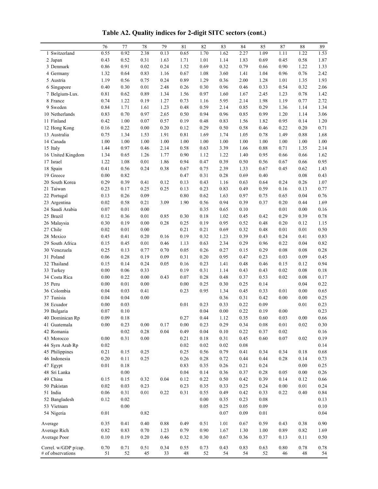76 77 78 79 81 82 83 84 85 87 88 89 1 Switzerland 0.55 0.92 2.38 0.13 0.65 1.70 1.62 2.27 1.09 1.11 1.22 1.53 2 Japan 0.43 0.52 0.31 1.63 1.71 1.01 1.14 1.83 0.69 0.45 0.58 1.87 3 Denmark 0.86 0.91 0.02 0.24 1.52 0.69 0.32 0.79 0.66 0.90 1.22 1.33 4 Germany 1.32 0.64 0.83 1.16 0.67 1.08 3.60 1.41 1.04 0.96 0.76 2.42 5 Austria 1.19 0.56 0.75 0.24 0.89 1.29 0.36 2.00 1.28 1.01 1.35 1.93 6 Singapore 0.40 0.30 0.01 2.48 0.26 0.30 0.96 0.46 0.33 0.54 0.32 2.06 7 Belgium-Lux. 0.81 0.62 0.89 1.34 1.56 0.97 1.60 1.67 2.45 1.23 0.78 1.42 8 France 0.74 1.22 0.19 1.27 0.73 1.16 5.95 2.14 1.98 1.19 0.77 2.72 9 Sweden 0.84 1.71 1.61 1.23 0.48 0.59 2.14 0.85 0.29 1.36 1.14 1.34 10 Netherlands 0.83 0.70 0.97 2.65 0.50 0.94 0.96 0.85 0.99 1.20 1.14 3.06 11 Finland 0.42 1.00 0.07 0.57 0.19 0.48 0.83 1.56 1.82 0.95 0.14 1.20 12 Hong Kong 0.16 0.22 0.00 0.20 0.12 0.29 0.50 0.58 0.46 0.22 0.20 0.71 13 Australia 0.75 1.34 1.53 1.91 0.81 1.69 1.74 1.05 0.78 1.49 0.88 1.68 14 Canada 1.00 1.00 1.00 1.00 1.00 1.00 1.00 1.00 1.00 1.00 1.00 1.00 15 Italy 1.44 0.97 0.46 2.14 0.58 0.63 3.39 1.66 0.88 0.71 1.35 2.14 16 United Kingdom 1.34 0.65 1.26 1.77 0.90 1.12 1.22 1.40 0.95 0.66 0.66 1.62 17 Israel 1.22 1.08 0.01 1.86 0.94 0.47 0.39 0.50 0.56 0.67 0.66 0.95 18 Spain 0.41 0.56 0.24 0.38 0.67 0.75 2.39 1.33 0.67 0.45 0.62 1.43 19 Greece **0.00** 0.82 0.47 0.31 0.28 0.69 0.40 0.08 0.43 20 South Korea 0.29 0.39 0.41 0.12 0.13 0.43 1.16 0.63 0.64 0.24 0.26 1.07 21 Taiwan 0.23 0.17 0.25 0.25 0.13 0.23 0.83 0.49 0.59 0.16 0.13 0.77 22 Portugal 0.13 0.26 0.09 0.80 0.62 1.63 0.97 0.75 0.65 0.04 0.76 23 Argentina 0.02 0.58 0.21 3.09 1.90 0.56 0.94 0.39 0.37 0.20 0.44 1.69 24 Saudi Arabia 0.07 0.01 0.00 0.35 0.65 0.10 0.01 0.00 0.16 25 Brazil 0.12 0.36 0.01 0.85 0.30 0.18 1.02 0.45 0.42 0.29 0.39 0.78 26 Malaysia 0.30 0.19 0.00 0.28 0.25 0.19 0.95 0.52 0.48 0.20 0.12 1.15 27 Chile 0.02 0.01 0.00 0.21 0.21 0.69 0.32 0.48 0.01 0.01 0.50 28 Mexico 0.45 0.41 0.20 0.16 0.19 0.32 1.23 0.39 0.43 0.24 0.41 0.83 29 South Africa 0.15 0.45 0.01 0.46 1.13 0.63 2.34 0.29 0.96 0.22 0.04 0.82 30 Venezuela 0.25 0.13 0.77 0.70 0.05 0.26 0.27 0.15 0.29 0.08 0.08 0.28 31 Poland 0.06 0.28 0.19 0.09 0.31 0.20 0.95 0.47 0.23 0.03 0.09 0.45 32 Thailand 0.15 0.14 0.24 0.05 0.16 0.23 1.41 0.48 0.46 0.15 0.12 0.94 33 Turkey 0.00 0.06 0.33 0.19 0.31 1.14 0.43 0.43 0.02 0.08 0.18 34 Costa Rica 0.00 0.22 0.00 0.43 0.07 0.28 0.48 0.37 0.53 0.02 0.08 0.17 35 Peru 0.00 0.01 0.00 0.00 0.25 0.30 0.25 0.14 0.04 0.22 36 Colombia 0.04 0.03 0.41 0.23 0.95 1.34 0.45 0.33 0.01 0.00 0.65 37 Tunisia 0.04 0.04 0.00 0.36 0.31 0.42 0.00 0.00 0.25 38 Ecuador 0.00 0.03 0.01 0.23 0.33 0.22 0.09 0.01 0.23 39 Bulgaria 0.07 0.10 0.04 0.00 0.22 0.19 0.00 0.23 40 Dominican Rp 0.09 0.18 0.27 0.44 1.12 0.35 0.60 0.03 0.00 0.66 41 Guatemala 0.00 0.23 0.00 0.17 0.00 0.23 0.29 0.34 0.08 0.01 0.02 0.30 42 Romania 0.02 0.28 0.04 0.49 0.04 0.10 0.22 0.37 0.02 0.16 43 Morocco 0.00 0.31 0.00 0.21 0.18 0.31 0.45 0.60 0.07 0.02 0.19 44 Syrn Arab Rp 0.02 0.02 0.02 0.02 0.02 0.08 0.14 45 Philippines 0.21 0.15 0.25 0.25 0.56 0.79 0.41 0.34 0.34 0.18 0.68 46 Indonesia 0.20 0.11 0.25 0.26 0.28 0.72 0.44 0.44 0.28 0.14 0.73 47 Egypt 0.01 0.18 0.83 0.35 0.26 0.21 0.24 0.00 0.25 48 Sri Lanka 0.00 0.04 0.14 0.36 0.37 0.28 0.05 0.00 0.26 49 China 0.15 0.15 0.32 0.04 0.12 0.22 0.50 0.42 0.39 0.14 0.12 0.66 50 Pakistan 0.02 0.03 0.23 0.23 0.35 0.33 0.25 0.24 0.00 0.01 0.24 51 India 0.06 0.31 0.01 0.22 0.31 0.55 0.49 0.42 0.33 0.22 0.40 0.84 52 Bangladesh 0.12 0.02 0.00 0.35 0.23 0.08 0.13 53 Vietnam 0.00 0.05 0.05 0.05 0.05 0.09 0.10 54 Nigeria 60.01 0.82 0.07 0.09 0.01 0.04 Average 0.35 0.41 0.40 0.88 0.49 0.51 1.01 0.67 0.59 0.43 0.38 0.90 Average Rich 0.82 0.83 0.70 1.23 0.79 0.90 1.67 1.30 1.00 0.89 0.82 1.69 Average Poor 0.10 0.19 0.20 0.46 0.32 0.30 0.67 0.36 0.37 0.13 0.11 0.50 Correl. w/GDP p/cap. 0.70 0.71 0.51 0.34 0.55 0.73 0.43 0.83 0.63 0.80 0.78 0.78 # of observations 51 52 45 33 48 52 54 54 52 46 48 54

**Table A2. Quality indices for 2-digit SITC sectors (cont.)**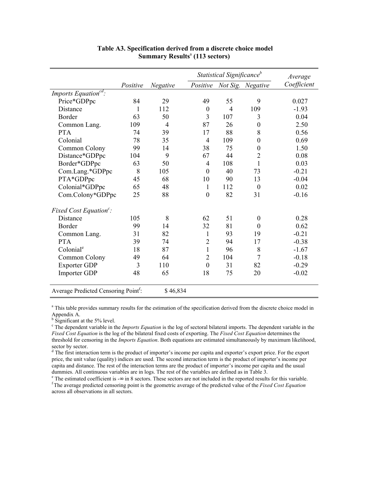|                                                  |          |          | Statistical Significance <sup>b</sup> | Average        |                   |             |
|--------------------------------------------------|----------|----------|---------------------------------------|----------------|-------------------|-------------|
|                                                  | Positive | Negative | Positive                              |                | Not Sig. Negative | Coefficient |
| Imports Equation <sup>cd</sup> :                 |          |          |                                       |                |                   |             |
| Price*GDPpc                                      | 84       | 29       | 49                                    | 55             | 9                 | 0.027       |
| <b>Distance</b>                                  | 1        | 112      | $\boldsymbol{0}$                      | $\overline{4}$ | 109               | $-1.93$     |
| <b>Border</b>                                    | 63       | 50       | $\overline{3}$                        | 107            | 3                 | 0.04        |
| Common Lang.                                     | 109      | 4        | 87                                    | 26             | $\theta$          | 2.50        |
| <b>PTA</b>                                       | 74       | 39       | 17                                    | 88             | 8                 | 0.56        |
| Colonial                                         | 78       | 35       | $\overline{4}$                        | 109            | $\boldsymbol{0}$  | 0.69        |
| Common Colony                                    | 99       | 14       | 38                                    | 75             | $\boldsymbol{0}$  | 1.50        |
| Distance*GDPpc                                   | 104      | 9        | 67                                    | 44             | 2                 | 0.08        |
| Border*GDPpc                                     | 63       | 50       | 4                                     | 108            | $\mathbf{1}$      | 0.03        |
| Com.Lang.*GDPpc                                  | 8        | 105      | $\boldsymbol{0}$                      | 40             | 73                | $-0.21$     |
| PTA*GDPpc                                        | 45       | 68       | 10                                    | 90             | 13                | $-0.04$     |
| Colonial*GDPpc                                   | 65       | 48       | 1                                     | 112            | $\boldsymbol{0}$  | 0.02        |
| Com.Colony*GDPpc                                 | 25       | 88       | $\boldsymbol{0}$                      | 82             | 31                | $-0.16$     |
| Fixed Cost Equation $\mathfrak{c}$ :             |          |          |                                       |                |                   |             |
| <b>Distance</b>                                  | 105      | 8        | 62                                    | 51             | $\boldsymbol{0}$  | 0.28        |
| Border                                           | 99       | 14       | 32                                    | 81             | $\boldsymbol{0}$  | 0.62        |
| Common Lang.                                     | 31       | 82       | 1                                     | 93             | 19                | $-0.21$     |
| <b>PTA</b>                                       | 39       | 74       | $\overline{2}$                        | 94             | 17                | $-0.38$     |
| Colonial <sup>e</sup>                            | 18       | 87       | 1                                     | 96             | 8                 | $-1.67$     |
| Common Colony                                    | 49       | 64       | $\overline{2}$                        | 104            | $\overline{7}$    | $-0.18$     |
| <b>Exporter GDP</b>                              | 3        | 110      | $\boldsymbol{0}$                      | 31             | 82                | $-0.29$     |
| Importer GDP                                     | 48       | 65       | 18                                    | 75             | 20                | $-0.02$     |
| Average Predicted Censoring Point <sup>f</sup> : |          | \$46,834 |                                       |                |                   |             |

#### **Table A3. Specification derived from a discrete choice model Summary Results**<sup>a</sup>  **(113 sectors)**

<sup>a</sup> This table provides summary results for the estimation of the specification derived from the discrete choice model in Appendix A.

<sup>b</sup> Significant at the 5% level.

<sup>c</sup> The dependent variable in the *Imports Equation* is the log of sectoral bilateral imports. The dependent variable in the *Fixed Cost Equation* is the log of the bilateral fixed costs of exporting. The *Fixed Cost Equation* determines the threshold for censoring in the *Imports Equation*. Both equations are estimated simultaneously by maximum likelihood, sector by sector.

<sup>d</sup> The first interaction term is the product of importer's income per capita and exporter's export price. For the export price, the unit value (quality) indices are used. The second interaction term is the product of importer's income per capita and distance. The rest of the interaction terms are the product of importer's income per capita and the usual dummies. All continuous variables are in logs. The rest of the variables are defined as in Table 3.<br><sup>e</sup> The estimated coefficient is  $-\infty$  in 8 sectors. These sectors are not included in the reported results for this vari

 $f$ The average predicted censoring point is the geometric average of the predicted value of the Fixed Cost Equation across all observations in all sectors.